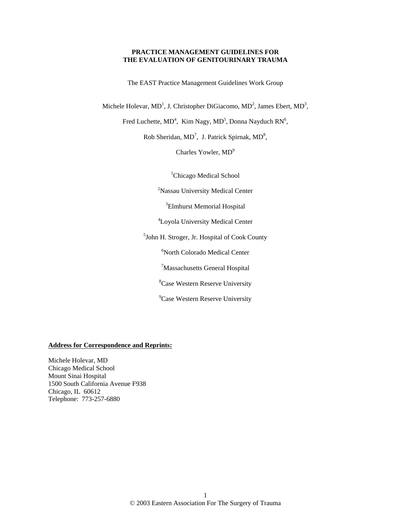#### **PRACTICE MANAGEMENT GUIDELINES FOR THE EVALUATION OF GENITOURINARY TRAUMA**

The EAST Practice Management Guidelines Work Group

Michele Holevar, MD<sup>1</sup>, J. Christopher DiGiacomo, MD<sup>2</sup>, James Ebert, MD<sup>3</sup>,

Fred Luchette,  $MD^4$ , Kim Nagy,  $MD^5$ , Donna Nayduch RN<sup>6</sup>,

Rob Sheridan,  $MD^7$ , J. Patrick Spirnak,  $MD^8$ ,

Charles Yowler,  $MD<sup>9</sup>$ 

<sup>1</sup>Chicago Medical School

<sup>2</sup>Nassau University Medical Center

3 Elmhurst Memorial Hospital

4 Loyola University Medical Center

5 John H. Stroger, Jr. Hospital of Cook County

6 North Colorado Medical Center

7 Massachusetts General Hospital

8 Case Western Reserve University

<sup>9</sup>Case Western Reserve University

#### **Address for Correspondence and Reprints:**

Michele Holevar, MD Chicago Medical School Mount Sinai Hospital 1500 South California Avenue F938 Chicago, IL 60612 Telephone: 773-257-6880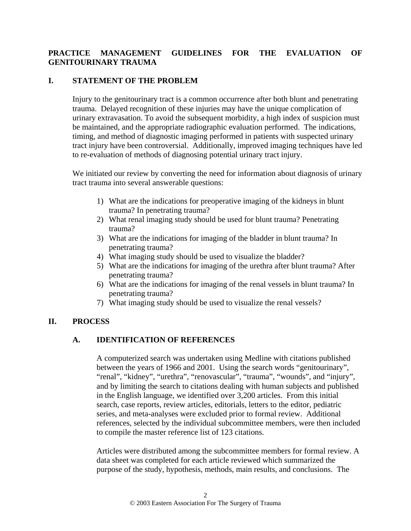# **PRACTICE MANAGEMENT GUIDELINES FOR THE EVALUATION OF GENITOURINARY TRAUMA**

#### **I. STATEMENT OF THE PROBLEM**

Injury to the genitourinary tract is a common occurrence after both blunt and penetrating trauma. Delayed recognition of these injuries may have the unique complication of urinary extravasation. To avoid the subsequent morbidity, a high index of suspicion must be maintained, and the appropriate radiographic evaluation performed. The indications, timing, and method of diagnostic imaging performed in patients with suspected urinary tract injury have been controversial. Additionally, improved imaging techniques have led to re-evaluation of methods of diagnosing potential urinary tract injury.

We initiated our review by converting the need for information about diagnosis of urinary tract trauma into several answerable questions:

- 1) What are the indications for preoperative imaging of the kidneys in blunt trauma? In penetrating trauma?
- 2) What renal imaging study should be used for blunt trauma? Penetrating trauma?
- 3) What are the indications for imaging of the bladder in blunt trauma? In penetrating trauma?
- 4) What imaging study should be used to visualize the bladder?
- 5) What are the indications for imaging of the urethra after blunt trauma? After penetrating trauma?
- 6) What are the indications for imaging of the renal vessels in blunt trauma? In penetrating trauma?
- 7) What imaging study should be used to visualize the renal vessels?

#### **II. PROCESS**

#### **A. IDENTIFICATION OF REFERENCES**

A computerized search was undertaken using Medline with citations published between the years of 1966 and 2001. Using the search words "genitourinary", "renal", "kidney", "urethra", "renovascular", "trauma", "wounds", and "injury", and by limiting the search to citations dealing with human subjects and published in the English language, we identified over 3,200 articles. From this initial search, case reports, review articles, editorials, letters to the editor, pediatric series, and meta-analyses were excluded prior to formal review. Additional references, selected by the individual subcommittee members, were then included to compile the master reference list of 123 citations.

Articles were distributed among the subcommittee members for formal review. A data sheet was completed for each article reviewed which summarized the purpose of the study, hypothesis, methods, main results, and conclusions. The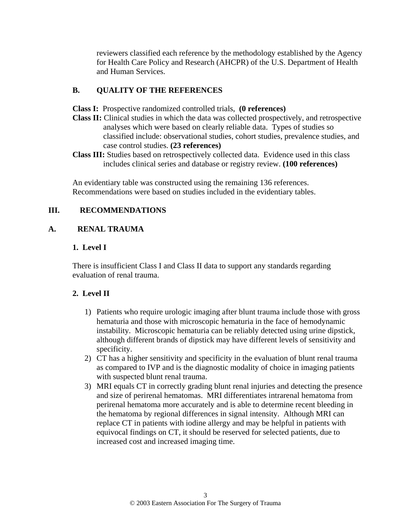reviewers classified each reference by the methodology established by the Agency for Health Care Policy and Research (AHCPR) of the U.S. Department of Health and Human Services.

# **B. QUALITY OF THE REFERENCES**

- **Class I:** Prospective randomized controlled trials, **(0 references)**
- **Class II:** Clinical studies in which the data was collected prospectively, and retrospective analyses which were based on clearly reliable data. Types of studies so classified include: observational studies, cohort studies, prevalence studies, and case control studies. **(23 references)**
- **Class III:** Studies based on retrospectively collected data. Evidence used in this class includes clinical series and database or registry review. **(100 references)**

An evidentiary table was constructed using the remaining 136 references. Recommendations were based on studies included in the evidentiary tables.

# **III. RECOMMENDATIONS**

#### **A. RENAL TRAUMA**

#### **1. Level I**

There is insufficient Class I and Class II data to support any standards regarding evaluation of renal trauma.

#### **2. Level II**

- 1) Patients who require urologic imaging after blunt trauma include those with gross hematuria and those with microscopic hematuria in the face of hemodynamic instability. Microscopic hematuria can be reliably detected using urine dipstick, although different brands of dipstick may have different levels of sensitivity and specificity.
- 2) CT has a higher sensitivity and specificity in the evaluation of blunt renal trauma as compared to IVP and is the diagnostic modality of choice in imaging patients with suspected blunt renal trauma.
- 3) MRI equals CT in correctly grading blunt renal injuries and detecting the presence and size of perirenal hematomas. MRI differentiates intrarenal hematoma from perirenal hematoma more accurately and is able to determine recent bleeding in the hematoma by regional differences in signal intensity. Although MRI can replace CT in patients with iodine allergy and may be helpful in patients with equivocal findings on CT, it should be reserved for selected patients, due to increased cost and increased imaging time.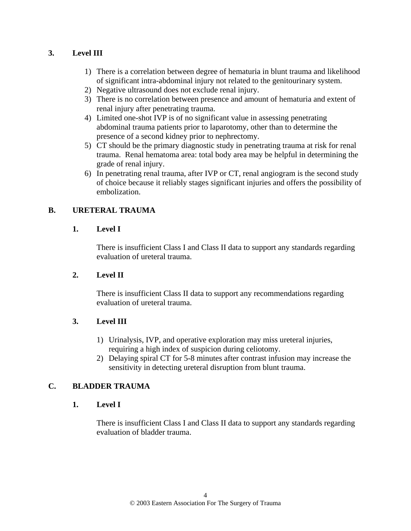# **3. Level III**

- 1) There is a correlation between degree of hematuria in blunt trauma and likelihood of significant intra-abdominal injury not related to the genitourinary system.
- 2) Negative ultrasound does not exclude renal injury.
- 3) There is no correlation between presence and amount of hematuria and extent of renal injury after penetrating trauma.
- 4) Limited one-shot IVP is of no significant value in assessing penetrating abdominal trauma patients prior to laparotomy, other than to determine the presence of a second kidney prior to nephrectomy.
- 5) CT should be the primary diagnostic study in penetrating trauma at risk for renal trauma. Renal hematoma area: total body area may be helpful in determining the grade of renal injury.
- 6) In penetrating renal trauma, after IVP or CT, renal angiogram is the second study of choice because it reliably stages significant injuries and offers the possibility of embolization.

# **B. URETERAL TRAUMA**

#### **1. Level I**

There is insufficient Class I and Class II data to support any standards regarding evaluation of ureteral trauma.

# **2. Level II**

There is insufficient Class II data to support any recommendations regarding evaluation of ureteral trauma.

#### **3. Level III**

- 1) Urinalysis, IVP, and operative exploration may miss ureteral injuries, requiring a high index of suspicion during celiotomy.
- 2) Delaying spiral CT for 5-8 minutes after contrast infusion may increase the sensitivity in detecting ureteral disruption from blunt trauma.

# **C. BLADDER TRAUMA**

#### **1. Level I**

There is insufficient Class I and Class II data to support any standards regarding evaluation of bladder trauma.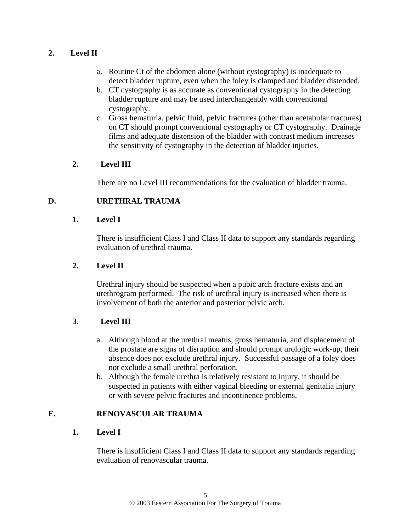# **2. Level II**

- a. Routine Ct of the abdomen alone (without cystography) is inadequate to detect bladder rupture, even when the foley is clamped and bladder distended.
- b. CT cystography is as accurate as conventional cystography in the detecting bladder rupture and may be used interchangeably with conventional cystography.
- c. Gross hematuria, pelvic fluid, pelvic fractures (other than acetabular fractures) on CT should prompt conventional cystography or CT cystography. Drainage films and adequate distension of the bladder with contrast medium increases the sensitivity of cystography in the detection of bladder injuries.

#### **2. Level III**

There are no Level III recommendations for the evaluation of bladder trauma.

# **D. URETHRAL TRAUMA**

#### **1. Level I**

There is insufficient Class I and Class II data to support any standards regarding evaluation of urethral trauma.

### **2. Level II**

Urethral injury should be suspected when a pubic arch fracture exists and an urethrogram performed. The risk of urethral injury is increased when there is involvement of both the anterior and posterior pelvic arch.

# **3. Level III**

- a. Although blood at the urethral meatus, gross hematuria, and displacement of the prostate are signs of disruption and should prompt urologic work-up, their absence does not exclude urethral injury. Successful passage of a foley does not exclude a small urethral perforation.
- b. Although the female urethra is relatively resistant to injury, it should be suspected in patients with either vaginal bleeding or external genitalia injury or with severe pelvic fractures and incontinence problems.

# **E. RENOVASCULAR TRAUMA**

#### **1. Level I**

There is insufficient Class I and Class II data to support any standards regarding evaluation of renovascular trauma.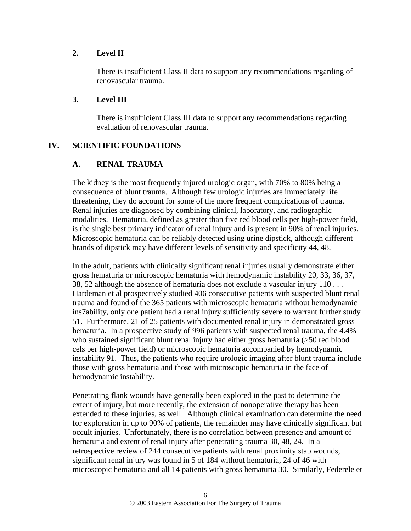#### **2. Level II**

There is insufficient Class II data to support any recommendations regarding of renovascular trauma.

#### **3. Level III**

There is insufficient Class III data to support any recommendations regarding evaluation of renovascular trauma.

# **IV. SCIENTIFIC FOUNDATIONS**

# **A. RENAL TRAUMA**

The kidney is the most frequently injured urologic organ, with 70% to 80% being a consequence of blunt trauma. Although few urologic injuries are immediately life threatening, they do account for some of the more frequent complications of trauma. Renal injuries are diagnosed by combining clinical, laboratory, and radiographic modalities. Hematuria, defined as greater than five red blood cells per high-power field, is the single best primary indicator of renal injury and is present in 90% of renal injuries. Microscopic hematuria can be reliably detected using urine dipstick, although different brands of dipstick may have different levels of sensitivity and specificity 44, 48.

In the adult, patients with clinically significant renal injuries usually demonstrate either gross hematuria or microscopic hematuria with hemodynamic instability 20, 33, 36, 37, 38, 52 although the absence of hematuria does not exclude a vascular injury 110 . . . Hardeman et al prospectively studied 406 consecutive patients with suspected blunt renal trauma and found of the 365 patients with microscopic hematuria without hemodynamic ins7ability, only one patient had a renal injury sufficiently severe to warrant further study 51. Furthermore, 21 of 25 patients with documented renal injury in demonstrated gross hematuria. In a prospective study of 996 patients with suspected renal trauma, the 4.4% who sustained significant blunt renal injury had either gross hematuria (>50 red blood cels per high-power field) or microscopic hematuria accompanied by hemodynamic instability 91. Thus, the patients who require urologic imaging after blunt trauma include those with gross hematuria and those with microscopic hematuria in the face of hemodynamic instability.

Penetrating flank wounds have generally been explored in the past to determine the extent of injury, but more recently, the extension of nonoperative therapy has been extended to these injuries, as well. Although clinical examination can determine the need for exploration in up to 90% of patients, the remainder may have clinically significant but occult injuries. Unfortunately, there is no correlation between presence and amount of hematuria and extent of renal injury after penetrating trauma 30, 48, 24. In a retrospective review of 244 consecutive patients with renal proximity stab wounds, significant renal injury was found in 5 of 184 without hematuria, 24 of 46 with microscopic hematuria and all 14 patients with gross hematuria 30. Similarly, Federele et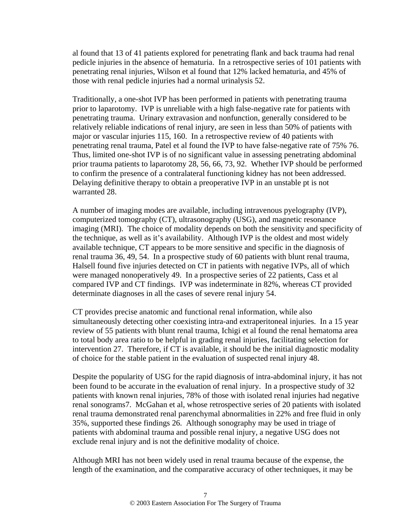al found that 13 of 41 patients explored for penetrating flank and back trauma had renal pedicle injuries in the absence of hematuria. In a retrospective series of 101 patients with penetrating renal injuries, Wilson et al found that 12% lacked hematuria, and 45% of those with renal pedicle injuries had a normal urinalysis 52.

Traditionally, a one-shot IVP has been performed in patients with penetrating trauma prior to laparotomy. IVP is unreliable with a high false-negative rate for patients with penetrating trauma. Urinary extravasion and nonfunction, generally considered to be relatively reliable indications of renal injury, are seen in less than 50% of patients with major or vascular injuries 115, 160. In a retrospective review of 40 patients with penetrating renal trauma, Patel et al found the IVP to have false-negative rate of 75% 76. Thus, limited one-shot IVP is of no significant value in assessing penetrating abdominal prior trauma patients to laparotomy 28, 56, 66, 73, 92. Whether IVP should be performed to confirm the presence of a contralateral functioning kidney has not been addressed. Delaying definitive therapy to obtain a preoperative IVP in an unstable pt is not warranted 28.

A number of imaging modes are available, including intravenous pyelography (IVP), computerized tomography (CT), ultrasonography (USG), and magnetic resonance imaging (MRI). The choice of modality depends on both the sensitivity and specificity of the technique, as well as it's availability. Although IVP is the oldest and most widely available technique, CT appears to be more sensitive and specific in the diagnosis of renal trauma 36, 49, 54. In a prospective study of 60 patients with blunt renal trauma, Halsell found five injuries detected on CT in patients with negative IVPs, all of which were managed nonoperatively 49. In a prospective series of 22 patients, Cass et al compared IVP and CT findings. IVP was indeterminate in 82%, whereas CT provided determinate diagnoses in all the cases of severe renal injury 54.

CT provides precise anatomic and functional renal information, while also simultaneously detecting other coexisting intra-and extraperitoneal injuries. In a 15 year review of 55 patients with blunt renal trauma, Ichigi et al found the renal hematoma area to total body area ratio to be helpful in grading renal injuries, facilitating selection for intervention 27. Therefore, if CT is available, it should be the initial diagnostic modality of choice for the stable patient in the evaluation of suspected renal injury 48.

Despite the popularity of USG for the rapid diagnosis of intra-abdominal injury, it has not been found to be accurate in the evaluation of renal injury. In a prospective study of 32 patients with known renal injuries, 78% of those with isolated renal injuries had negative renal sonograms7. McGahan et al, whose retrospective series of 20 patients with isolated renal trauma demonstrated renal parenchymal abnormalities in 22% and free fluid in only 35%, supported these findings 26. Although sonography may be used in triage of patients with abdominal trauma and possible renal injury, a negative USG does not exclude renal injury and is not the definitive modality of choice.

Although MRI has not been widely used in renal trauma because of the expense, the length of the examination, and the comparative accuracy of other techniques, it may be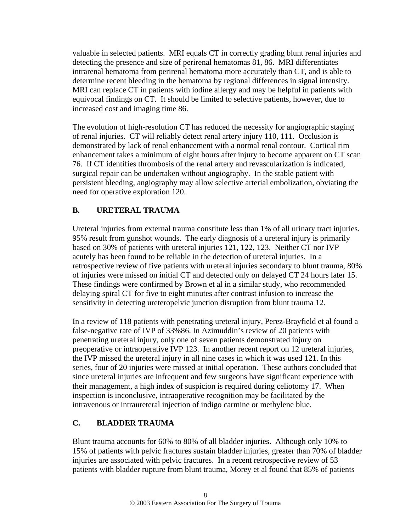valuable in selected patients. MRI equals CT in correctly grading blunt renal injuries and detecting the presence and size of perirenal hematomas 81, 86. MRI differentiates intrarenal hematoma from perirenal hematoma more accurately than CT, and is able to determine recent bleeding in the hematoma by regional differences in signal intensity. MRI can replace CT in patients with iodine allergy and may be helpful in patients with equivocal findings on CT. It should be limited to selective patients, however, due to increased cost and imaging time 86.

The evolution of high-resolution CT has reduced the necessity for angiographic staging of renal injuries. CT will reliably detect renal artery injury 110, 111. Occlusion is demonstrated by lack of renal enhancement with a normal renal contour. Cortical rim enhancement takes a minimum of eight hours after injury to become apparent on CT scan 76. If CT identifies thrombosis of the renal artery and revascularization is indicated, surgical repair can be undertaken without angiography. In the stable patient with persistent bleeding, angiography may allow selective arterial embolization, obviating the need for operative exploration 120.

# **B. URETERAL TRAUMA**

Ureteral injuries from external trauma constitute less than 1% of all urinary tract injuries. 95% result from gunshot wounds. The early diagnosis of a ureteral injury is primarily based on 30% of patients with ureteral injuries 121, 122, 123. Neither CT nor IVP acutely has been found to be reliable in the detection of ureteral injuries. In a retrospective review of five patients with ureteral injuries secondary to blunt trauma, 80% of injuries were missed on initial CT and detected only on delayed CT 24 hours later 15. These findings were confirmed by Brown et al in a similar study, who recommended delaying spiral CT for five to eight minutes after contrast infusion to increase the sensitivity in detecting ureteropelvic junction disruption from blunt trauma 12.

In a review of 118 patients with penetrating ureteral injury, Perez-Brayfield et al found a false-negative rate of IVP of 33%86. In Azimuddin's review of 20 patients with penetrating ureteral injury, only one of seven patients demonstrated injury on preoperative or intraoperative IVP 123. In another recent report on 12 ureteral injuries, the IVP missed the ureteral injury in all nine cases in which it was used 121. In this series, four of 20 injuries were missed at initial operation. These authors concluded that since ureteral injuries are infrequent and few surgeons have significant experience with their management, a high index of suspicion is required during celiotomy 17. When inspection is inconclusive, intraoperative recognition may be facilitated by the intravenous or intraureteral injection of indigo carmine or methylene blue.

# **C. BLADDER TRAUMA**

Blunt trauma accounts for 60% to 80% of all bladder injuries. Although only 10% to 15% of patients with pelvic fractures sustain bladder injuries, greater than 70% of bladder injuries are associated with pelvic fractures. In a recent retrospective review of 53 patients with bladder rupture from blunt trauma, Morey et al found that 85% of patients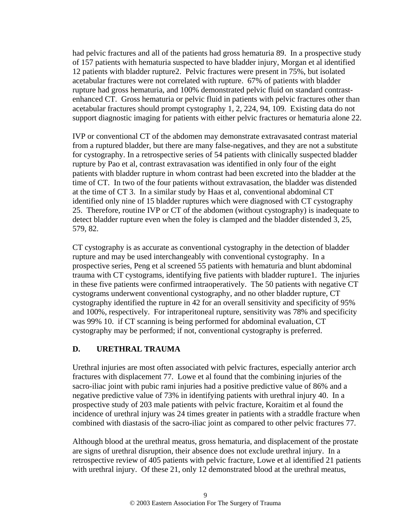had pelvic fractures and all of the patients had gross hematuria 89. In a prospective study of 157 patients with hematuria suspected to have bladder injury, Morgan et al identified 12 patients with bladder rupture2. Pelvic fractures were present in 75%, but isolated acetabular fractures were not correlated with rupture. 67% of patients with bladder rupture had gross hematuria, and 100% demonstrated pelvic fluid on standard contrastenhanced CT. Gross hematuria or pelvic fluid in patients with pelvic fractures other than acetabular fractures should prompt cystography 1, 2, 224, 94, 109. Existing data do not support diagnostic imaging for patients with either pelvic fractures or hematuria alone 22.

IVP or conventional CT of the abdomen may demonstrate extravasated contrast material from a ruptured bladder, but there are many false-negatives, and they are not a substitute for cystography. In a retrospective series of 54 patients with clinically suspected bladder rupture by Pao et al, contrast extravasation was identified in only four of the eight patients with bladder rupture in whom contrast had been excreted into the bladder at the time of CT. In two of the four patients without extravasation, the bladder was distended at the time of CT 3. In a similar study by Haas et al, conventional abdominal CT identified only nine of 15 bladder ruptures which were diagnosed with CT cystography 25. Therefore, routine IVP or CT of the abdomen (without cystography) is inadequate to detect bladder rupture even when the foley is clamped and the bladder distended 3, 25, 579, 82.

CT cystography is as accurate as conventional cystography in the detection of bladder rupture and may be used interchangeably with conventional cystography. In a prospective series, Peng et al screened 55 patients with hematuria and blunt abdominal trauma with CT cystograms, identifying five patients with bladder rupture1. The injuries in these five patients were confirmed intraoperatively. The 50 patients with negative CT cystograms underwent conventional cystography, and no other bladder rupture, CT cystography identified the rupture in 42 for an overall sensitivity and specificity of 95% and 100%, respectively. For intraperitoneal rupture, sensitivity was 78% and specificity was 99% 10. if CT scanning is being performed for abdominal evaluation, CT cystography may be performed; if not, conventional cystography is preferred.

# **D. URETHRAL TRAUMA**

Urethral injuries are most often associated with pelvic fractures, especially anterior arch fractures with displacement 77. Lowe et al found that the combining injuries of the sacro-iliac joint with pubic rami injuries had a positive predictive value of 86% and a negative predictive value of 73% in identifying patients with urethral injury 40. In a prospective study of 203 male patients with pelvic fracture, Koraitim et al found the incidence of urethral injury was 24 times greater in patients with a straddle fracture when combined with diastasis of the sacro-iliac joint as compared to other pelvic fractures 77.

Although blood at the urethral meatus, gross hematuria, and displacement of the prostate are signs of urethral disruption, their absence does not exclude urethral injury. In a retrospective review of 405 patients with pelvic fracture, Lowe et al identified 21 patients with urethral injury. Of these 21, only 12 demonstrated blood at the urethral meatus,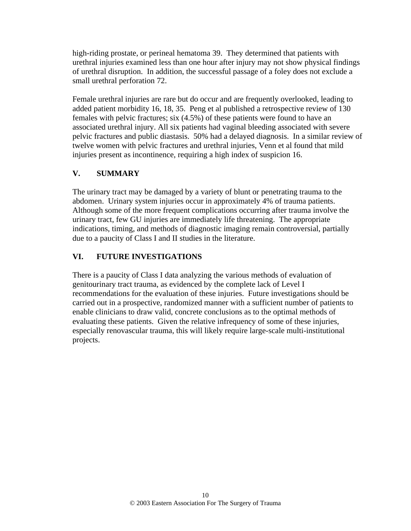high-riding prostate, or perineal hematoma 39. They determined that patients with urethral injuries examined less than one hour after injury may not show physical findings of urethral disruption. In addition, the successful passage of a foley does not exclude a small urethral perforation 72.

Female urethral injuries are rare but do occur and are frequently overlooked, leading to added patient morbidity 16, 18, 35. Peng et al published a retrospective review of 130 females with pelvic fractures; six (4.5%) of these patients were found to have an associated urethral injury. All six patients had vaginal bleeding associated with severe pelvic fractures and public diastasis. 50% had a delayed diagnosis. In a similar review of twelve women with pelvic fractures and urethral injuries, Venn et al found that mild injuries present as incontinence, requiring a high index of suspicion 16.

# **V. SUMMARY**

The urinary tract may be damaged by a variety of blunt or penetrating trauma to the abdomen. Urinary system injuries occur in approximately 4% of trauma patients. Although some of the more frequent complications occurring after trauma involve the urinary tract, few GU injuries are immediately life threatening. The appropriate indications, timing, and methods of diagnostic imaging remain controversial, partially due to a paucity of Class I and II studies in the literature.

# **VI. FUTURE INVESTIGATIONS**

There is a paucity of Class I data analyzing the various methods of evaluation of genitourinary tract trauma, as evidenced by the complete lack of Level I recommendations for the evaluation of these injuries. Future investigations should be carried out in a prospective, randomized manner with a sufficient number of patients to enable clinicians to draw valid, concrete conclusions as to the optimal methods of evaluating these patients. Given the relative infrequency of some of these injuries, especially renovascular trauma, this will likely require large-scale multi-institutional projects.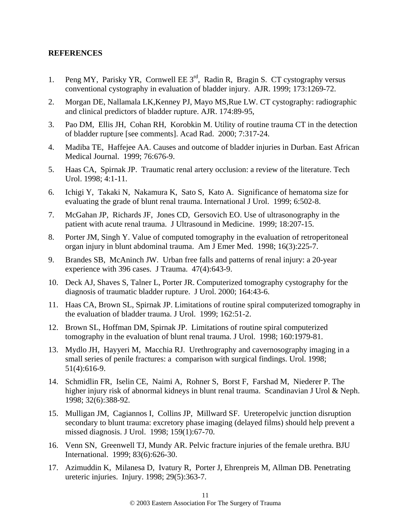#### **REFERENCES**

- 1. Peng MY, Parisky YR, Cornwell EE 3<sup>rd</sup>, Radin R, Bragin S. CT cystography versus conventional cystography in evaluation of bladder injury. AJR. 1999; 173:1269-72.
- 2. Morgan DE, Nallamala LK,Kenney PJ, Mayo MS,Rue LW. CT cystography: radiographic and clinical predictors of bladder rupture. AJR. 174:89-95,
- 3. Pao DM, Ellis JH, Cohan RH, Korobkin M. Utility of routine trauma CT in the detection of bladder rupture [see comments]. Acad Rad. 2000; 7:317-24.
- 4. Madiba TE, Haffejee AA. Causes and outcome of bladder injuries in Durban. East African Medical Journal. 1999; 76:676-9.
- 5. Haas CA, Spirnak JP. Traumatic renal artery occlusion: a review of the literature. Tech Urol. 1998; 4:1-11.
- 6. Ichigi Y, Takaki N, Nakamura K, Sato S, Kato A. Significance of hematoma size for evaluating the grade of blunt renal trauma. International J Urol. 1999; 6:502-8.
- 7. McGahan JP, Richards JF, Jones CD, Gersovich EO. Use of ultrasonography in the patient with acute renal trauma. J Ultrasound in Medicine. 1999; 18:207-15.
- 8. Porter JM, Singh Y. Value of computed tomography in the evaluation of retroperitoneal organ injury in blunt abdominal trauma. Am J Emer Med. 1998; 16(3):225-7.
- 9. Brandes SB, McAninch JW. Urban free falls and patterns of renal injury: a 20-year experience with 396 cases. J Trauma. 47(4):643-9.
- 10. Deck AJ, Shaves S, Talner L, Porter JR. Computerized tomography cystography for the diagnosis of traumatic bladder rupture. J Urol. 2000; 164:43-6.
- 11. Haas CA, Brown SL, Spirnak JP. Limitations of routine spiral computerized tomography in the evaluation of bladder trauma. J Urol. 1999; 162:51-2.
- 12. Brown SL, Hoffman DM, Spirnak JP. Limitations of routine spiral computerized tomography in the evaluation of blunt renal trauma. J Urol. 1998; 160:1979-81.
- 13. Mydlo JH, Hayyeri M, Macchia RJ. Urethrography and cavernosography imaging in a small series of penile fractures: a comparison with surgical findings. Urol. 1998; 51(4):616-9.
- 14. Schmidlin FR, Iselin CE, Naimi A, Rohner S, Borst F, Farshad M, Niederer P. The higher injury risk of abnormal kidneys in blunt renal trauma. Scandinavian J Urol & Neph. 1998; 32(6):388-92.
- 15. Mulligan JM, Cagiannos I, Collins JP, Millward SF. Ureteropelvic junction disruption secondary to blunt trauma: excretory phase imaging (delayed films) should help prevent a missed diagnosis. J Urol. 1998; 159(1):67-70.
- 16. Venn SN, Greenwell TJ, Mundy AR. Pelvic fracture injuries of the female urethra. BJU International. 1999; 83(6):626-30.
- 17. Azimuddin K, Milanesa D, Ivatury R, Porter J, Ehrenpreis M, Allman DB. Penetrating ureteric injuries. Injury. 1998; 29(5):363-7.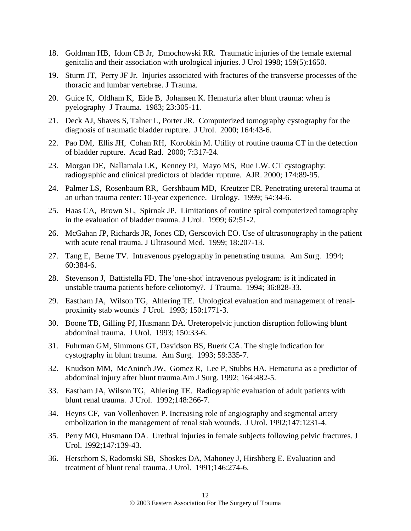- 18. Goldman HB, Idom CB Jr, Dmochowski RR. Traumatic injuries of the female external genitalia and their association with urological injuries. J Urol 1998; 159(5):1650.
- 19. Sturm JT, Perry JF Jr. Injuries associated with fractures of the transverse processes of the thoracic and lumbar vertebrae. J Trauma.
- 20. Guice K, Oldham K, Eide B, Johansen K. Hematuria after blunt trauma: when is pyelography J Trauma. 1983; 23:305-11.
- 21. Deck AJ, Shaves S, Talner L, Porter JR. Computerized tomography cystography for the diagnosis of traumatic bladder rupture. J Urol. 2000; 164:43-6.
- 22. Pao DM, Ellis JH, Cohan RH, Korobkin M. Utility of routine trauma CT in the detection of bladder rupture. Acad Rad. 2000; 7:317-24.
- 23. Morgan DE, Nallamala LK, Kenney PJ, Mayo MS, Rue LW. CT cystography: radiographic and clinical predictors of bladder rupture. AJR. 2000; 174:89-95.
- 24. Palmer LS, Rosenbaum RR, Gershbaum MD, Kreutzer ER. Penetrating ureteral trauma at an urban trauma center: 10-year experience. Urology. 1999; 54:34-6.
- 25. Haas CA, Brown SL, Spirnak JP. Limitations of routine spiral computerized tomography in the evaluation of bladder trauma. J Urol. 1999; 62:51-2.
- 26. McGahan JP, Richards JR, Jones CD, Gerscovich EO. Use of ultrasonography in the patient with acute renal trauma. J Ultrasound Med. 1999; 18:207-13.
- 27. Tang E, Berne TV. Intravenous pyelography in penetrating trauma. Am Surg. 1994; 60:384-6.
- 28. Stevenson J, Battistella FD. The 'one-shot' intravenous pyelogram: is it indicated in unstable trauma patients before celiotomy?. J Trauma. 1994; 36:828-33.
- 29. Eastham JA, Wilson TG, Ahlering TE. Urological evaluation and management of renalproximity stab wounds J Urol. 1993; 150:1771-3.
- 30. Boone TB, Gilling PJ, Husmann DA. Ureteropelvic junction disruption following blunt abdominal trauma. J Urol. 1993; 150:33-6.
- 31. Fuhrman GM, Simmons GT, Davidson BS, Buerk CA. The single indication for cystography in blunt trauma. Am Surg. 1993; 59:335-7.
- 32. Knudson MM, McAninch JW, Gomez R, Lee P, Stubbs HA. Hematuria as a predictor of abdominal injury after blunt trauma.Am J Surg. 1992; 164:482-5.
- 33. Eastham JA, Wilson TG, Ahlering TE. Radiographic evaluation of adult patients with blunt renal trauma. J Urol. 1992;148:266-7.
- 34. Heyns CF, van Vollenhoven P. Increasing role of angiography and segmental artery embolization in the management of renal stab wounds. J Urol. 1992;147:1231-4.
- 35. Perry MO, Husmann DA. Urethral injuries in female subjects following pelvic fractures. J Urol. 1992;147:139-43.
- 36. Herschorn S, Radomski SB, Shoskes DA, Mahoney J, Hirshberg E. Evaluation and treatment of blunt renal trauma. J Urol. 1991;146:274-6.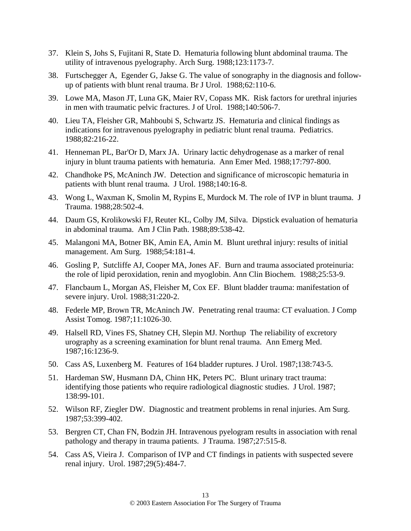- 37. Klein S, Johs S, Fujitani R, State D. Hematuria following blunt abdominal trauma. The utility of intravenous pyelography. Arch Surg. 1988;123:1173-7.
- 38. Furtschegger A, Egender G, Jakse G. The value of sonography in the diagnosis and followup of patients with blunt renal trauma. Br J Urol. 1988;62:110-6.
- 39. Lowe MA, Mason JT, Luna GK, Maier RV, Copass MK. Risk factors for urethral injuries in men with traumatic pelvic fractures. J of Urol. 1988;140:506-7.
- 40. Lieu TA, Fleisher GR, Mahboubi S, Schwartz JS. Hematuria and clinical findings as indications for intravenous pyelography in pediatric blunt renal trauma. Pediatrics. 1988;82:216-22.
- 41. Henneman PL, Bar'Or D, Marx JA. Urinary lactic dehydrogenase as a marker of renal injury in blunt trauma patients with hematuria. Ann Emer Med. 1988;17:797-800.
- 42. Chandhoke PS, McAninch JW. Detection and significance of microscopic hematuria in patients with blunt renal trauma. J Urol. 1988;140:16-8.
- 43. Wong L, Waxman K, Smolin M, Rypins E, Murdock M. The role of IVP in blunt trauma. J Trauma. 1988;28:502-4.
- 44. Daum GS, Krolikowski FJ, Reuter KL, Colby JM, Silva. Dipstick evaluation of hematuria in abdominal trauma. Am J Clin Path. 1988;89:538-42.
- 45. Malangoni MA, Botner BK, Amin EA, Amin M. Blunt urethral injury: results of initial management. Am Surg. 1988;54:181-4.
- 46. Gosling P, Sutcliffe AJ, Cooper MA, Jones AF. Burn and trauma associated proteinuria: the role of lipid peroxidation, renin and myoglobin. Ann Clin Biochem. 1988;25:53-9.
- 47. Flancbaum L, Morgan AS, Fleisher M, Cox EF. Blunt bladder trauma: manifestation of severe injury. Urol. 1988;31:220-2.
- 48. Federle MP, Brown TR, McAninch JW. Penetrating renal trauma: CT evaluation. J Comp Assist Tomog. 1987;11:1026-30.
- 49. Halsell RD, Vines FS, Shatney CH, Slepin MJ. Northup The reliability of excretory urography as a screening examination for blunt renal trauma. Ann Emerg Med. 1987;16:1236-9.
- 50. Cass AS, Luxenberg M. Features of 164 bladder ruptures. J Urol. 1987;138:743-5.
- 51. Hardeman SW, Husmann DA, Chinn HK, Peters PC. Blunt urinary tract trauma: identifying those patients who require radiological diagnostic studies. J Urol. 1987; 138:99-101.
- 52. Wilson RF, Ziegler DW. Diagnostic and treatment problems in renal injuries. Am Surg. 1987;53:399-402.
- 53. Bergren CT, Chan FN, Bodzin JH. Intravenous pyelogram results in association with renal pathology and therapy in trauma patients. J Trauma. 1987;27:515-8.
- 54. Cass AS, Vieira J. Comparison of IVP and CT findings in patients with suspected severe renal injury. Urol. 1987;29(5):484-7.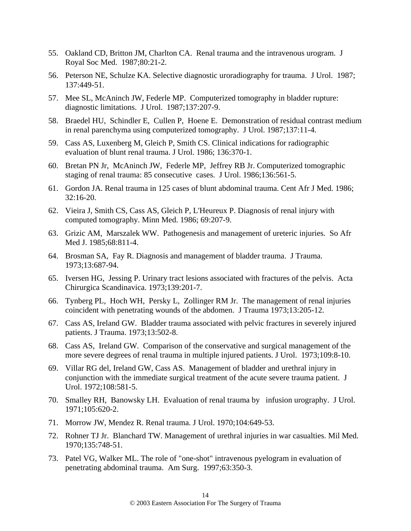- 55. Oakland CD, Britton JM, Charlton CA. Renal trauma and the intravenous urogram. J Royal Soc Med. 1987;80:21-2.
- 56. Peterson NE, Schulze KA. Selective diagnostic uroradiography for trauma. J Urol. 1987; 137:449-51.
- 57. Mee SL, McAninch JW, Federle MP. Computerized tomography in bladder rupture: diagnostic limitations. J Urol. 1987;137:207-9.
- 58. Braedel HU, Schindler E, Cullen P, Hoene E. Demonstration of residual contrast medium in renal parenchyma using computerized tomography. J Urol. 1987;137:11-4.
- 59. Cass AS, Luxenberg M, Gleich P, Smith CS. Clinical indications for radiographic evaluation of blunt renal trauma. J Urol. 1986; 136:370-1.
- 60. Bretan PN Jr, McAninch JW, Federle MP, Jeffrey RB Jr. Computerized tomographic staging of renal trauma: 85 consecutive cases. J Urol. 1986;136:561-5.
- 61. Gordon JA. Renal trauma in 125 cases of blunt abdominal trauma. Cent Afr J Med. 1986; 32:16-20.
- 62. Vieira J, Smith CS, Cass AS, Gleich P, L'Heureux P. Diagnosis of renal injury with computed tomography. Minn Med. 1986; 69:207-9.
- 63. Grizic AM, Marszalek WW. Pathogenesis and management of ureteric injuries. So Afr Med J. 1985;68:811-4.
- 64. Brosman SA, Fay R. Diagnosis and management of bladder trauma. J Trauma. 1973;13:687-94.
- 65. Iversen HG, Jessing P. Urinary tract lesions associated with fractures of the pelvis. Acta Chirurgica Scandinavica. 1973;139:201-7.
- 66. Tynberg PL, Hoch WH, Persky L, Zollinger RM Jr. The management of renal injuries coincident with penetrating wounds of the abdomen. J Trauma 1973;13:205-12.
- 67. Cass AS, Ireland GW. Bladder trauma associated with pelvic fractures in severely injured patients. J Trauma. 1973;13:502-8.
- 68. Cass AS, Ireland GW. Comparison of the conservative and surgical management of the more severe degrees of renal trauma in multiple injured patients. J Urol. 1973;109:8-10.
- 69. Villar RG del, Ireland GW, Cass AS. Management of bladder and urethral injury in conjunction with the immediate surgical treatment of the acute severe trauma patient. J Urol. 1972;108:581-5.
- 70. Smalley RH, Banowsky LH. Evaluation of renal trauma by infusion urography. J Urol. 1971;105:620-2.
- 71. Morrow JW, Mendez R. Renal trauma. J Urol. 1970;104:649-53.
- 72. Rohner TJ Jr. Blanchard TW. Management of urethral injuries in war casualties. Mil Med. 1970;135:748-51.
- 73. Patel VG, Walker ML. The role of "one-shot" intravenous pyelogram in evaluation of penetrating abdominal trauma. Am Surg. 1997;63:350-3.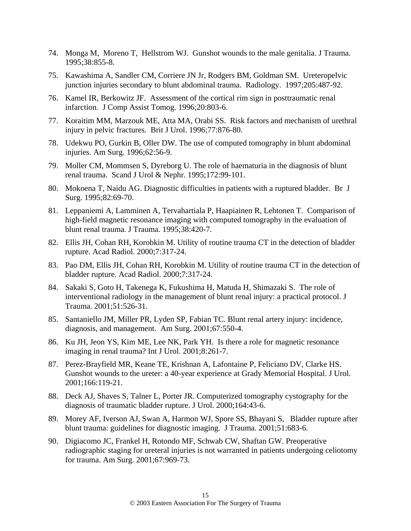- 74. Monga M, Moreno T, Hellstrom WJ. Gunshot wounds to the male genitalia. J Trauma. 1995;38:855-8.
- 75. Kawashima A, Sandler CM, Corriere JN Jr, Rodgers BM, Goldman SM. Ureteropelvic junction injuries secondary to blunt abdominal trauma. Radiology. 1997;205:487-92.
- 76. Kamel IR, Berkowitz JF. Assessment of the cortical rim sign in posttraumatic renal infarction. J Comp Assist Tomog. 1996;20:803-6.
- 77. Koraitim MM, Marzouk ME, Atta MA, Orabi SS. Risk factors and mechanism of urethral injury in pelvic fractures. Brit J Urol. 1996;77:876-80.
- 78. Udekwu PO, Gurkin B, Oller DW. The use of computed tomography in blunt abdominal injuries. Am Surg. 1996;62:56-9.
- 79. Moller CM, Mommsen S, Dyreborg U. The role of haematuria in the diagnosis of blunt renal trauma. Scand J Urol & Nephr. 1995;172:99-101.
- 80. Mokoena T, Naidu AG. Diagnostic difficulties in patients with a ruptured bladder. Br J Surg. 1995;82:69-70.
- 81. Leppaniemi A, Lamminen A, Tervahartiala P, Haapiainen R, Lehtonen T. Comparison of high-field magnetic resonance imaging with computed tomography in the evaluation of blunt renal trauma. J Trauma. 1995;38:420-7.
- 82. Ellis JH, Cohan RH, Korobkin M. Utility of routine trauma CT in the detection of bladder rupture. Acad Radiol. 2000;7:317-24.
- 83. Pao DM, Ellis JH, Cohan RH, Korobkin M. Utility of routine trauma CT in the detection of bladder rupture. Acad Radiol. 2000;7:317-24.
- 84. Sakaki S, Goto H, Takenega K, Fukushima H, Matuda H, Shimazaki S. The role of interventional radiology in the management of blunt renal injury: a practical protocol. J Trauma. 2001;51:526-31.
- 85. Santaniello JM, Miller PR, Lyden SP, Fabian TC. Blunt renal artery injury: incidence, diagnosis, and management. Am Surg. 2001;67:550-4.
- 86. Ku JH, Jeon YS, Kim ME, Lee NK, Park YH. Is there a role for magnetic resonance imaging in renal trauma? Int J Urol. 2001;8:261-7.
- 87. Perez-Brayfield MR, Keane TE, Krishnan A, Lafontaine P, Feliciano DV, Clarke HS. Gunshot wounds to the ureter: a 40-year experience at Grady Memorial Hospital. J Urol. 2001;166:119-21.
- 88. Deck AJ, Shaves S, Talner L, Porter JR. Computerized tomography cystography for the diagnosis of traumatic bladder rupture. J Urol. 2000;164:43-6.
- 89. Morey AF, Iverson AJ, Swan A, Harmon WJ, Spore SS, Bhayani S, Bladder rupture after blunt trauma: guidelines for diagnostic imaging. J Trauma. 2001;51:683-6.
- 90. Digiacomo JC, Frankel H, Rotondo MF, Schwab CW, Shaftan GW. Preoperative radiographic staging for ureteral injuries is not warranted in patients undergoing celiotomy for trauma. Am Surg. 2001;67:969-73.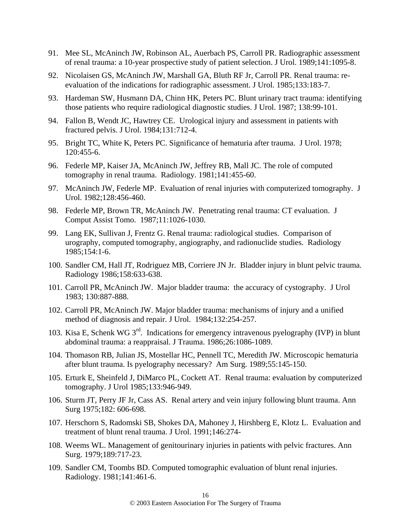- 91. Mee SL, McAninch JW, Robinson AL, Auerbach PS, Carroll PR. Radiographic assessment of renal trauma: a 10-year prospective study of patient selection. J Urol. 1989;141:1095-8.
- 92. Nicolaisen GS, McAninch JW, Marshall GA, Bluth RF Jr, Carroll PR. Renal trauma: reevaluation of the indications for radiographic assessment. J Urol. 1985;133:183-7.
- 93. Hardeman SW, Husmann DA, Chinn HK, Peters PC. Blunt urinary tract trauma: identifying those patients who require radiological diagnostic studies. J Urol. 1987; 138:99-101.
- 94. Fallon B, Wendt JC, Hawtrey CE. Urological injury and assessment in patients with fractured pelvis. J Urol. 1984;131:712-4.
- 95. Bright TC, White K, Peters PC. Significance of hematuria after trauma. J Urol. 1978; 120:455-6.
- 96. Federle MP, Kaiser JA, McAninch JW, Jeffrey RB, Mall JC. The role of computed tomography in renal trauma. Radiology. 1981;141:455-60.
- 97. McAninch JW, Federle MP. Evaluation of renal injuries with computerized tomography. J Urol. 1982;128:456-460.
- 98. Federle MP, Brown TR, McAninch JW. Penetrating renal trauma: CT evaluation. J Comput Assist Tomo. 1987;11:1026-1030.
- 99. Lang EK, Sullivan J, Frentz G. Renal trauma: radiological studies. Comparison of urography, computed tomography, angiography, and radionuclide studies. Radiology 1985;154:1-6.
- 100. Sandler CM, Hall JT, Rodriguez MB, Corriere JN Jr. Bladder injury in blunt pelvic trauma. Radiology 1986;158:633-638.
- 101. Carroll PR, McAninch JW. Major bladder trauma: the accuracy of cystography. J Urol 1983; 130:887-888.
- 102. Carroll PR, McAninch JW. Major bladder trauma: mechanisms of injury and a unified method of diagnosis and repair. J Urol. 1984;132:254-257.
- 103. Kisa E, Schenk WG  $3^{rd}$ . Indications for emergency intravenous pyelography (IVP) in blunt abdominal trauma: a reappraisal. J Trauma. 1986;26:1086-1089.
- 104. Thomason RB, Julian JS, Mostellar HC, Pennell TC, Meredith JW. Microscopic hematuria after blunt trauma. Is pyelography necessary? Am Surg. 1989;55:145-150.
- 105. Erturk E, Sheinfeld J, DiMarco PL, Cockett AT. Renal trauma: evaluation by computerized tomography. J Urol 1985;133:946-949.
- 106. Sturm JT, Perry JF Jr, Cass AS. Renal artery and vein injury following blunt trauma. Ann Surg 1975;182: 606-698.
- 107. Herschorn S, Radomski SB, Shokes DA, Mahoney J, Hirshberg E, Klotz L. Evaluation and treatment of blunt renal trauma. J Urol. 1991;146:274-
- 108. Weems WL. Management of genitourinary injuries in patients with pelvic fractures. Ann Surg. 1979;189:717-23.
- 109. Sandler CM, Toombs BD. Computed tomographic evaluation of blunt renal injuries. Radiology. 1981;141:461-6.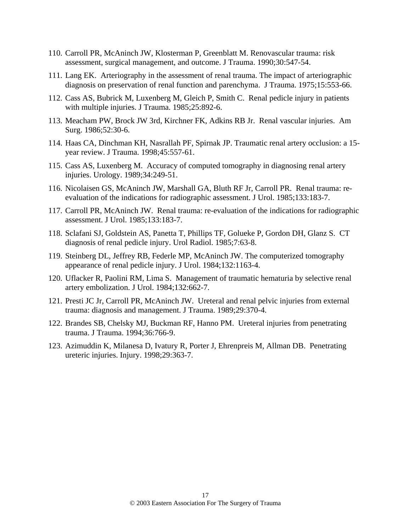- 110. Carroll PR, McAninch JW, Klosterman P, Greenblatt M. Renovascular trauma: risk assessment, surgical management, and outcome. J Trauma. 1990;30:547-54.
- 111. Lang EK. Arteriography in the assessment of renal trauma. The impact of arteriographic diagnosis on preservation of renal function and parenchyma. J Trauma. 1975;15:553-66.
- 112. Cass AS, Bubrick M, Luxenberg M, Gleich P, Smith C. Renal pedicle injury in patients with multiple injuries. J Trauma. 1985;25:892-6.
- 113. Meacham PW, Brock JW 3rd, Kirchner FK, Adkins RB Jr. Renal vascular injuries. Am Surg. 1986;52:30-6.
- 114. Haas CA, Dinchman KH, Nasrallah PF, Spirnak JP. Traumatic renal artery occlusion: a 15 year review. J Trauma. 1998;45:557-61.
- 115. Cass AS, Luxenberg M. Accuracy of computed tomography in diagnosing renal artery injuries. Urology. 1989;34:249-51.
- 116. Nicolaisen GS, McAninch JW, Marshall GA, Bluth RF Jr, Carroll PR. Renal trauma: reevaluation of the indications for radiographic assessment. J Urol. 1985;133:183-7.
- 117. Carroll PR, McAninch JW. Renal trauma: re-evaluation of the indications for radiographic assessment. J Urol. 1985;133:183-7.
- 118. Sclafani SJ, Goldstein AS, Panetta T, Phillips TF, Golueke P, Gordon DH, Glanz S. CT diagnosis of renal pedicle injury. Urol Radiol. 1985;7:63-8.
- 119. Steinberg DL, Jeffrey RB, Federle MP, McAninch JW. The computerized tomography appearance of renal pedicle injury. J Urol. 1984;132:1163-4.
- 120. Uflacker R, Paolini RM, Lima S. Management of traumatic hematuria by selective renal artery embolization. J Urol. 1984;132:662-7.
- 121. Presti JC Jr, Carroll PR, McAninch JW. Ureteral and renal pelvic injuries from external trauma: diagnosis and management. J Trauma. 1989;29:370-4.
- 122. Brandes SB, Chelsky MJ, Buckman RF, Hanno PM. Ureteral injuries from penetrating trauma. J Trauma. 1994;36:766-9.
- 123. Azimuddin K, Milanesa D, Ivatury R, Porter J, Ehrenpreis M, Allman DB. Penetrating ureteric injuries. Injury. 1998;29:363-7.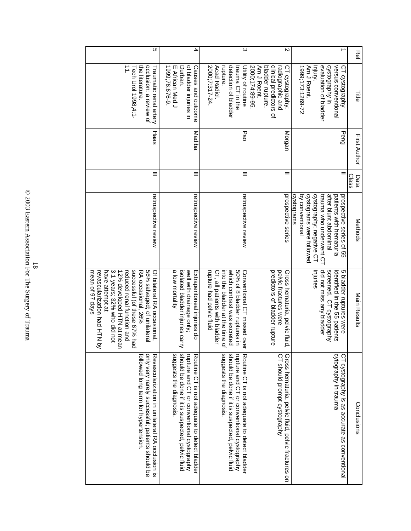| Cη                                                                                                                                                                                                                                                                                | 4                                                                                                                                                                       | $\infty$                                                                                                                                                                                 | $\sim$                                                                                                             | ∸                                                                                                                                                                                                | Ret                 |
|-----------------------------------------------------------------------------------------------------------------------------------------------------------------------------------------------------------------------------------------------------------------------------------|-------------------------------------------------------------------------------------------------------------------------------------------------------------------------|------------------------------------------------------------------------------------------------------------------------------------------------------------------------------------------|--------------------------------------------------------------------------------------------------------------------|--------------------------------------------------------------------------------------------------------------------------------------------------------------------------------------------------|---------------------|
| $\overrightarrow{1}$<br>occlusion: a review of<br>the literature<br>Tech Urol 1998;4:1-<br>Traumatic renal artery                                                                                                                                                                 | of bladder injuries in<br>Causes and outcome<br>1999;76:676-9<br>E African Med J<br>Durban.                                                                             | 2000;7:317-24<br>detection of bladder<br>trauma CT in the<br>Acad Radiol.<br>rupture.<br>Utility of routine                                                                              | clinical predictors of<br>2000;174:89-95<br>bladder rupture.<br>Am J Roent.<br>radiographic and<br>CT cystography: | evaluation of bladder<br>cystography in<br>versus conventional<br>1999;173:1269-72<br>injury.<br>Am J Roent.<br>CT cystography                                                                   | 들                   |
| Haas                                                                                                                                                                                                                                                                              | Madiba                                                                                                                                                                  | Pao                                                                                                                                                                                      | Morgan                                                                                                             | Peng                                                                                                                                                                                             | <b>First Author</b> |
|                                                                                                                                                                                                                                                                                   | Ξ                                                                                                                                                                       | Ξ                                                                                                                                                                                        |                                                                                                                    | $=$                                                                                                                                                                                              | Class<br>Data       |
| retrospective review                                                                                                                                                                                                                                                              | retrospective review                                                                                                                                                    | retrospective review                                                                                                                                                                     | prospective series                                                                                                 | cystograms were followed<br>cystography; negative CT<br>trauma who underwent CT<br>after blunt abdominal<br>by conventional<br>cystograms<br>patients with hematuria<br>prospective series of 55 | Methods             |
| 12% developed HTN at mear<br>3.1 years; 32% who did not<br>successful (of these 67% had<br>56% salvaged; of unilatera<br>revascularization had HTN b<br>reduced renal function and<br>mean of 97 days<br>have attempt at<br>RA occasional, 26%<br>Of bilateral RA occasional<br>< | a low mortality<br>well with drainage only;<br>isolated bladder injuries carry<br>Extraperitoneal injuries do                                                           | into the bladder at the time o<br>50% of 8 bladder ruptures in<br>which contrast was excreted<br>rupture had pelvic fluid<br>CT, all patients with bladder<br>Conventional CT missed ove | predictors of bladder rupture<br>pelvic fractures were<br>Gross hematuria, pelvic fluid                            | did not miss any bladder<br>mjuries<br>5 bladder ruptures were<br>screened. CT cystography<br>identified in the 30 patients                                                                      | Main Results        |
| only very rarely successful; patients should be<br>followed long term for hypertension.<br>Revascularization in unilateral RA occlusion is                                                                                                                                        | should be done if it is suspected, pelvic fluid<br>rupture and CT or conventional cystography<br>suggests the diagnosis<br>Routine CT is not adequate to detect bladder | suggests the diagnosis<br>should be done if it is suspected, pelvic fluid<br>rupture and CT or conventional cystography<br>Routine CT is not adequate to detect bladder                  | CT should prompt cystography<br>Gross hematuria, pelvic fluid, pelvic fractures on                                 | cytography in trauma<br>CT cystography is as accurate as conventional                                                                                                                            | Conclusions         |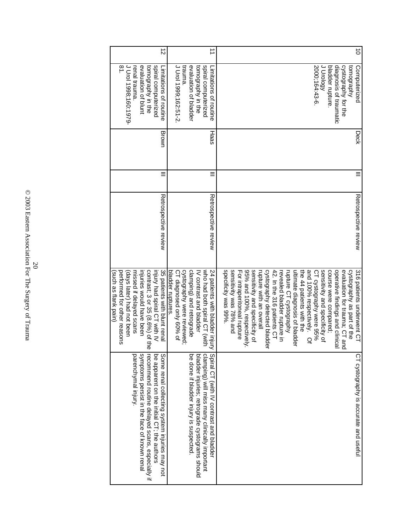|                                                                                                                                                                                                                     | performed for other reasons<br>(days later) had not been<br>such as flank pain)                                                                                                                                                                                                                                                                                                                                                                                                                                                                                                                                  |                                              |   |               | J Urol 1998;160:1979-<br>$\overline{81}$ .                                                                                                               |                                   |
|---------------------------------------------------------------------------------------------------------------------------------------------------------------------------------------------------------------------|------------------------------------------------------------------------------------------------------------------------------------------------------------------------------------------------------------------------------------------------------------------------------------------------------------------------------------------------------------------------------------------------------------------------------------------------------------------------------------------------------------------------------------------------------------------------------------------------------------------|----------------------------------------------|---|---------------|----------------------------------------------------------------------------------------------------------------------------------------------------------|-----------------------------------|
| symptoms persist in the face of known renal<br>parenchymal injury.<br>recommend routine delayed scans, especially if<br>be apparent on the juital CT; the actronom<br>Some renal collecting system injuries may not | contrast; 3 or 35 (8.6%) of the<br>injury had spiral CT with IV<br>missed if delayed scans<br>injuries would have been                                                                                                                                                                                                                                                                                                                                                                                                                                                                                           |                                              |   |               | spiral computerized<br>evaluation of blunt<br>tomography in the<br>renal trauma                                                                          |                                   |
| Spiral CL (with IV contrast and Diadden<br>bladder injuries; retrograde cystograms should<br>clamping) will miss many clinically important<br>be done if bladder injury is suspected                                | cystography were reviewed;<br>who had poth spiral CT (with<br>35 patients with blunt rena<br>clamping) and retrograde<br>bladder ruptures.<br>CT diagnosed only 60% of<br>24 patients with bladder injury<br>IV contrast and bladder                                                                                                                                                                                                                                                                                                                                                                             | Retrospective review<br>Retrospective review | Ξ | Brown<br>Haas | J Drol 1999;162:51-2<br>trauma.<br>spiral computerized<br>evaluation of bladder<br>tomography in the<br>Limitations of routine<br>Limitations of routine | $\overrightarrow{ }$<br>$\vec{z}$ |
| CT cystography is accurate and useful                                                                                                                                                                               | operative findings and clinical<br>specificity was 99%.<br>sensitivity was 78% and<br>95% and 100%, respectively<br>sensitivity and specificity of<br>42. In the 316 patients CT<br>sensitivity and specificity of<br>course were compared;<br>evaluation for trauma; CT and<br>cystography as part of the<br>316 patients underwent CT<br>For intraperitoneal rupture<br>cystography detected bladde<br>ultimate diagnosis of bladder<br>and 100% respectively.<br>CT cystography were 95%<br>rupture with an overall<br>the 44 patients with the<br>rupture CT cystography<br>revealed bladder rupture in<br>Q | Retrospective review                         |   | Deck          | 2000;164:43-6<br>J Urology<br>bladder rupture.<br>diagnosis of traumatic<br>cystography for the<br><b>Audeubowor</b><br>Computerized                     | $\vec{o}$                         |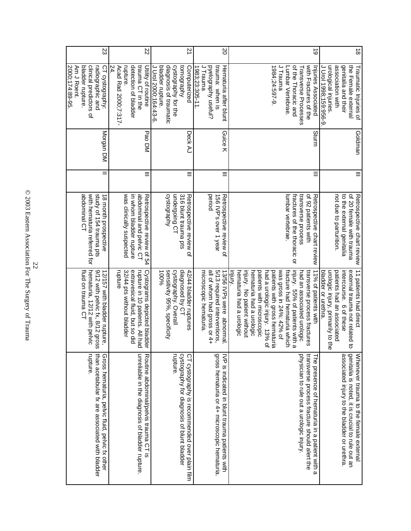| 23                                                                                                                    | 22                                                                                                                                       | 21                                                                                                                     | SO                                                                                                                | ಠ                                                                                                                                                                                                                                                                                                                                                                               | $\vec{\infty}$                                                                                                                                                                   |
|-----------------------------------------------------------------------------------------------------------------------|------------------------------------------------------------------------------------------------------------------------------------------|------------------------------------------------------------------------------------------------------------------------|-------------------------------------------------------------------------------------------------------------------|---------------------------------------------------------------------------------------------------------------------------------------------------------------------------------------------------------------------------------------------------------------------------------------------------------------------------------------------------------------------------------|----------------------------------------------------------------------------------------------------------------------------------------------------------------------------------|
| Am J Roent.<br>bladder rupture.<br>clinical predictors of<br>2000;174:89-95.<br>CT cystography:<br>radiographic and   | detection of bladder<br>trauma CT in the<br>24.<br>Acad Rad 2000;7:317-<br>rupture.<br>Utility of routine                                | diagnosis of traumatic<br>cystography for the<br>dudenbowo<br>bladder rupture.<br>Computerized<br>J Urol 2000;164:43-6 | trauma: when is<br>byelography useful?<br>1983;23:305-11.<br>Hematuria after blunt<br>Trauma                      | with Fractures of the<br>1984;24:597-9<br>J Trauma<br>of the Thoracic and<br>Injuries Associated<br>Transverse Processes<br>umbar Vertebrae.                                                                                                                                                                                                                                    | association with<br>genitalia and their<br>the Female external<br>urological injuries.<br>Traumatic Injuries of<br>Urol 1998;159:956-9                                           |
| Morgan DM                                                                                                             | Pao DM                                                                                                                                   | Deck AJ                                                                                                                | Guice K                                                                                                           | Sturm                                                                                                                                                                                                                                                                                                                                                                           | Goldman                                                                                                                                                                          |
| $=$                                                                                                                   | $\equiv$                                                                                                                                 | Ξ                                                                                                                      | $\equiv$                                                                                                          | Ξ                                                                                                                                                                                                                                                                                                                                                                               | Ξ                                                                                                                                                                                |
| with hematuria referred for<br>abdominal CT<br>study of 154 trauma pts<br>18 month prospective                        | was clinically suspected<br>in whom bladder rupture<br>abdominal and pelvic CT<br>Retrospective review of 54                             | undergoing CT<br>cystography<br>316 blunt trauma pts<br>Retrospective review of                                        | period<br>156 IVP's over 1 year<br>Retrospective review of                                                        | transverse process<br>of 92 patients with<br>Retrospective chart review<br>lumbar vertebrae.<br>fractures of the thoracic or                                                                                                                                                                                                                                                    | to the external genitalia<br>not due to parturition.<br>of 20 female with trauma<br>Retrospective chart review                                                                   |
| fluid on trauma CT<br>hematuria, 12/12 with pelvic<br>9/12 with pelvic fx, 8/12 gross<br>12/157 with bladder rupture, | rupture in 10 patients. All had<br>Cystograms depicted bladder<br>extravesical fluid, but so did<br>32/44 pts without bladder<br>rupture | sensitivity 95%, specificity<br>cystography. Overal<br>100%<br>diagnosed by CT<br>42/44 bladder ruptures               | all of whom had gross or 4+<br>5/13 required interventions<br>13/50 IVPs were apportual<br>microscopic hematuria. | was gross in 24%: 42% of<br>injury. 55% of patients with a<br>11% of patients with<br>injury. No patient without<br>had a urologic injury. 13% of<br>fracture had hematuria which<br>hematuria had a urologic<br>hematuria had a urologic<br>patients with microscopic<br>patients with gross hematuria<br>had an associated urologic<br>transverse process fractures<br>inlur. | 11 patients had direct<br>external trauma not related to<br>urologic injury, primarily to the<br>patients had an associated<br>intercourse.<br>bladder or urethra.<br>6 of these |
| rupture.<br>than acetabular fx are associated with bladder<br>Gross hematuria, pelvic fluid, pelvic fx othe           | unreliable in the diagnosis of bladder rupture<br>Routine abdominal/pelvis trauma CT is                                                  | rupture.<br>cystography for diagnosis of blunt bladder<br>CT cystography is recommended over plain film                | gross hematuria or 4+ microscopic hematuria<br>IVP is indicated in blunt trauma patients with                     | physician to rule out a urologic injury.<br>transverse process fracture should alert the<br>The presence of hematuria in a patient with a                                                                                                                                                                                                                                       | genitalia is noted, it is crucial to rule out an<br>Whenever trauma to the female externa<br>associated injury to the bladder or urethra.                                        |

© 2003 Eastern Association For The Surgery of Trauma  $\frac{22}{22003}$  Eastern Association For The Surgery of Trauma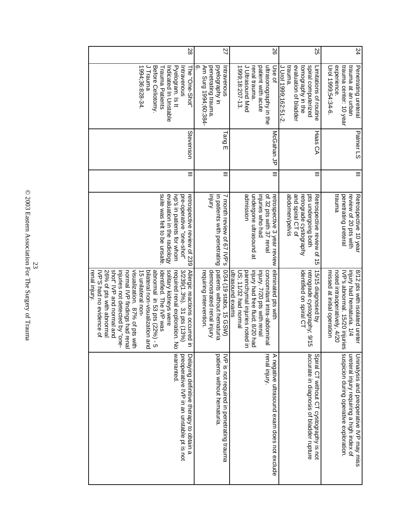| 24 | experience.<br>trauma center: 10 year<br>trauma at an urban<br>0-7399;54:34-6<br>Penetrating uretera                           | Palmer LS  | $\equiv$ | <b>Eunnen</b><br>penetrating ureteral<br>review of 20 pts with<br>Retrospective 10 year                           | noted intraoperatively, 4/20<br>injury had hematuria. 1/4<br>missed at initial operation<br>8/12 pts with isolated ureter<br>IVP's abnormal. 15/20 injurie<br>S | suspicion during operative exploration<br>ureteral injury requiring a high index of<br>Uninalysis and preoperative IVP may miss |
|----|--------------------------------------------------------------------------------------------------------------------------------|------------|----------|-------------------------------------------------------------------------------------------------------------------|-----------------------------------------------------------------------------------------------------------------------------------------------------------------|---------------------------------------------------------------------------------------------------------------------------------|
| SS | trauna.<br>evaluation of bladder<br>spiral computerized<br>tomography in the<br>J Urol 1999;162:51-2<br>Limitations of routine | Haas CA    | $\equiv$ | and spiral CT of<br>abdomen/pelvis<br>pts undergoing both<br>retrograde cystography<br>Retrospective revies of 15 | identified on spiral CT<br>15/15 diagnosed by<br>retrograde cystography; 9/15                                                                                   | accurate in diagnosis of bladder rupture<br>Spiral CT without CT cystography is not                                             |
|    |                                                                                                                                |            |          |                                                                                                                   |                                                                                                                                                                 |                                                                                                                                 |
| 92 | ultrasonography in the<br>Use of                                                                                               | McGahan JP | $\equiv$ | of 32 pts with 37 renal<br>retrospective 3 year review                                                            | eliminated pts with<br>concomitant intra-abdominal                                                                                                              | renal Injury.<br>A negative ultrasound exam does not exclude                                                                    |
|    | patient with acute<br>renal trauma.                                                                                            |            |          | undergone ultrasound at<br>injuries who had                                                                       | injury had free fluid; 8/20 had<br>injury. 7/20 pts with renal                                                                                                  |                                                                                                                                 |
|    | 1999;18:207-13.<br><b>Ultrasound Med</b>                                                                                       |            |          | admission                                                                                                         | parenchymal injuries noted in<br>US; 11/32 had normal                                                                                                           |                                                                                                                                 |
|    |                                                                                                                                |            |          |                                                                                                                   | ultrasound exams                                                                                                                                                |                                                                                                                                 |
| 22 | თ<br>penetrating trauma.<br>pyelography in<br>Am Surg 1994;60:384-<br>Intravenous                                              | $1$ ang E  | $\equiv$ | <b>Anlui</b><br>in patients with penetrating<br>N Honth review of 67 NP.s                                         | patients without hematuria<br>0/34 (19 stabs, 15 GSW)<br>demonstrated renal injury<br>requiring intervention                                                    | patients without hematuria<br>IVP is not required in penetrating trauma                                                         |
| 28 | The "One-Shot"                                                                                                                 | Stevenson  | $\equiv$ | retrospective review of 239                                                                                       |                                                                                                                                                                 |                                                                                                                                 |
|    | Intravenous<br>Pyelogram. Is It<br>Indicated In Chataple                                                                       |            |          | evaluation in the radiology<br>ivp's in patients for whom<br>pre-operative "one-shot"                             | solitary kidneys were<br>$3/239(1.3\%)$ . 31 pts (13%)<br>Allergic reactions occurred in<br>required renal exploration. No                                      | warranted.<br>preoperative IVP in an unstable pt is not<br>Delaying definitive therapy to obtain a                              |
|    | Before Celiotomy.<br>Trauma Patients                                                                                           |            |          | suite was felt to be unsafe                                                                                       | dhormal in 53 pts (22%) - 5<br>identified. The IVP was                                                                                                          |                                                                                                                                 |
|    | J Trauma<br>1994;36:828-34                                                                                                     |            |          |                                                                                                                   | bilateral non-visualization anc<br>15 unilateral non-                                                                                                           |                                                                                                                                 |
|    |                                                                                                                                |            |          |                                                                                                                   | visualization. 87% of pts with<br>normal IVP findings had rena                                                                                                  |                                                                                                                                 |
|    |                                                                                                                                |            |          |                                                                                                                   | shot" IVP and normal and<br>injuries not detected by "one-                                                                                                      |                                                                                                                                 |
|    |                                                                                                                                |            |          |                                                                                                                   | 26% of pts with abnormal                                                                                                                                        |                                                                                                                                 |
|    |                                                                                                                                |            |          |                                                                                                                   | IVP'S had no evidence of<br>renal injury.                                                                                                                       |                                                                                                                                 |
|    |                                                                                                                                |            |          |                                                                                                                   |                                                                                                                                                                 |                                                                                                                                 |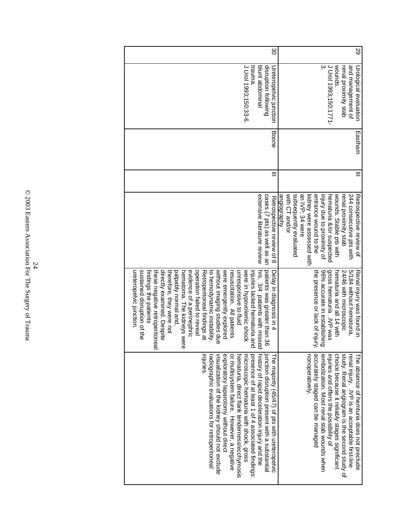| J Urol 1993;150:1771-<br>trauna<br>disruption following<br>wounds.<br>blunt abdominal<br>and management of<br>Ureteropelvic junction<br>Urological evaluation<br>renal proximity stab<br><b>Boone</b><br>Eastham<br>with CT and/or<br>subsequently evaluated<br>an IVP; 34 were<br>injury due to proximity of<br>wounds. Stable pts with<br>244 consecutive pts with<br>extensive literature review<br>cases (7 pts) as well as an<br>angiography<br>kidney were assessed with<br>entrance wound to the<br>hematuria &/or suspected<br>Retrospective review of<br>renal proximity stab<br>Retrospective review of 8 | hrs. 3/4 patients with missec<br>patients was greater than 36<br>5/184 without hematuria,<br>96% accurate in establishing<br>gross hematuria .IVP was<br>24/46 with microscopic<br>the presence or lack of injury.<br>Renal injury was found in<br>Delay in diagnosis in 4<br>hematuria and all 14 with |
|---------------------------------------------------------------------------------------------------------------------------------------------------------------------------------------------------------------------------------------------------------------------------------------------------------------------------------------------------------------------------------------------------------------------------------------------------------------------------------------------------------------------------------------------------------------------------------------------------------------------|---------------------------------------------------------------------------------------------------------------------------------------------------------------------------------------------------------------------------------------------------------------------------------------------------------|
|                                                                                                                                                                                                                                                                                                                                                                                                                                                                                                                                                                                                                     |                                                                                                                                                                                                                                                                                                         |
|                                                                                                                                                                                                                                                                                                                                                                                                                                                                                                                                                                                                                     |                                                                                                                                                                                                                                                                                                         |
|                                                                                                                                                                                                                                                                                                                                                                                                                                                                                                                                                                                                                     |                                                                                                                                                                                                                                                                                                         |
|                                                                                                                                                                                                                                                                                                                                                                                                                                                                                                                                                                                                                     |                                                                                                                                                                                                                                                                                                         |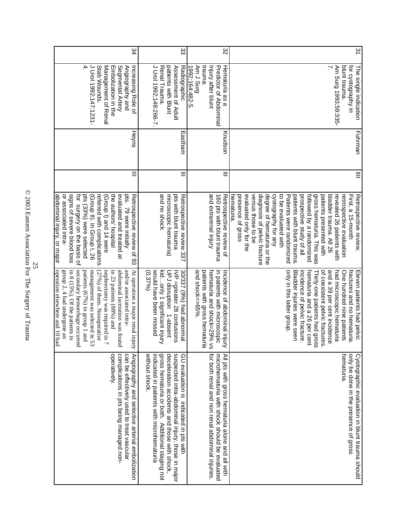| 34                                                                                                                                                                                                                                                                                                                                                                                                       | జ                                                                                                                                                                                                                                                            | జ                                                                                                                                                    | 31                                                                                                                                                                                                                                                                                                                                                                                                                                                                                                      |
|----------------------------------------------------------------------------------------------------------------------------------------------------------------------------------------------------------------------------------------------------------------------------------------------------------------------------------------------------------------------------------------------------------|--------------------------------------------------------------------------------------------------------------------------------------------------------------------------------------------------------------------------------------------------------------|------------------------------------------------------------------------------------------------------------------------------------------------------|---------------------------------------------------------------------------------------------------------------------------------------------------------------------------------------------------------------------------------------------------------------------------------------------------------------------------------------------------------------------------------------------------------------------------------------------------------------------------------------------------------|
| 4.<br>J Urol 1992;147:1231-<br>Stab Wounds.<br>Management of Renal<br>Embolization in the<br>Segmental Artery<br>Angiography and<br>Increasing Role of                                                                                                                                                                                                                                                   | J Urol 1992;148:266-7<br>Renal Trauma.<br>patients with Blunt<br>Assessment of Adult<br>Radiographic                                                                                                                                                         | trauma.<br>1992;164:482-5.<br>Hematuria as a<br>pung r wy<br>Predictor of Abdomina<br>Injury after blunt                                             | un Vatography in<br>blunt trauma.<br>Am Surg 1993;59:335-<br>The single indication                                                                                                                                                                                                                                                                                                                                                                                                                      |
| Heyns                                                                                                                                                                                                                                                                                                                                                                                                    | Eastham                                                                                                                                                                                                                                                      | Knudson                                                                                                                                              | Fuhrman                                                                                                                                                                                                                                                                                                                                                                                                                                                                                                 |
| ≡                                                                                                                                                                                                                                                                                                                                                                                                        | $\equiv$                                                                                                                                                                                                                                                     | $\equiv$                                                                                                                                             | ≣                                                                                                                                                                                                                                                                                                                                                                                                                                                                                                       |
| for surgery on the basis of<br>signs of severe blood loss<br>or associated intra-<br>the authors' hospital<br>pts (33%) were selected<br>referred with complications<br>evaluated and treated at<br>pts.<br>Retrospective review of 93<br>abdominal injury, or major<br>(Group II). In Group I, 26<br>(Group I) and 14 were<br>79 were initially                                                         | and no shock<br>microscopic hematuria)<br>pts with blunt trauma<br>Retrospective review 337                                                                                                                                                                  | and extrarenal injury<br>160 pts with blunt trauma<br>Retrospective review of                                                                        | versus those to be<br>to be evaluated with<br>followed by a randomized<br>evaluated only for the<br>diagnosis of pelvic fracture<br>degree of hematuria or the<br>cystography for any<br>patients with blunt trauma<br>gross hematuria. This was<br>patients presented with<br>bladder trauma. All 26<br>hematuria.<br>Patients were randomized<br>prospective study of all<br>revealed 26 patients with<br>First, a 15-month<br>Retrospective review.<br>presence of gross<br>retrospective evaluation |
| operation elsewhere and 10 had<br>secondary hemorrhage occurred<br>in 8 $(15\%)$ . Of the patients in<br>abdominal laceration was found<br>group 2, 4 had undergone an<br>patients $(67\%)$ in group 1 and<br>management was selected in 53<br>and/or associated intra-<br>(27%) of them. Nonoperative<br>nephrectomy was required in 7<br>in 23 patients (88%) and<br>At operation a major renal injury | would have been missed<br>kidonly 1 significant injury<br>30/337 (9%) had abnormal<br>$(0.37\%)$<br>UPJ disruption 1-absent<br>IVP =greater 28 contusions                                                                                                    | and shock=>65%.<br>patients with gross hematuria<br>hematuria and shock=29% vs<br>in patients with microscopic<br>Incidence of abdominal injury      | only in this latter group.<br>fractures and no hematuria<br>and a 39 per cent incidence<br>One hundred nine patients<br>Bladder injuries were seen<br>Thirty-one patients had gross<br>of coexistent pelvic fractures<br>had microscopic hematuria<br>Eleven patients had pelvic<br>incidence of pelvic fracture<br>hematuria and a 26 per cent                                                                                                                                                         |
| operatively.<br>complications in pts being managed non-<br>can be effectively used to treat vascular<br>Angiography and selective arterial embolization                                                                                                                                                                                                                                                  | without shock.<br>indicated in patients with microhematuria<br>gross hematuria or both. Additional staging not<br>deceleration accidents and those with shock,<br>suspected intra-abdominal injury, those in major<br>GU evaluation is indicated in pts with | for both renal and non renal abdominal injuries.<br>microhematuria with shock should be evaluated<br>All pts with gross hematuria alone and all with | hematuria<br>only be done in the presence of gross<br>Cystographic evaluation in blunt trauma should                                                                                                                                                                                                                                                                                                                                                                                                    |

© 2003 Eastern Association For The Surgery of Trauma 25  $\frac{25}{2003}$  Eastern Association For The Surgery of Trauma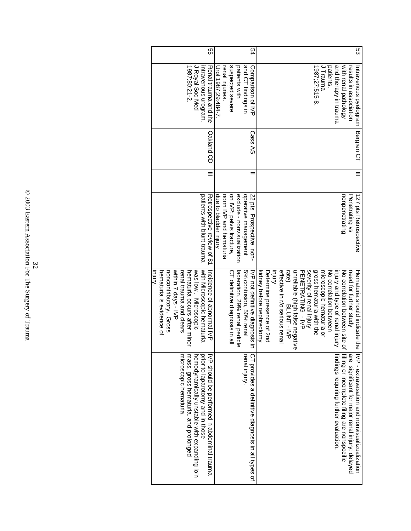| ςg | J Trauma<br>1987;27:515-8<br>patients.<br>and therapy in trauma<br>with renal pathology<br>Intravenous pyelogram<br>results in association | Bergren CT | Ξ | 127 pts Retrospective<br>nonpenetrating<br>Penetrating vs                                                                                                    | rate)                            | gross hematuria with the<br>effective in r/o serious renal<br>unreliable (high false negativ<br>severity of renal injury<br>need for further study<br>PENETRATING - NP<br>microscopic hematuria or<br>No correlation between<br>Hematuria shoric indicate the<br>injury and type of renal injury<br>No correlation between site o<br>BLONT - LYP<br>Ф<br>i <sup>filing</sup> or incomplete filing are nonspecific<br>IVP - extravasation and nonvisualizualization |
|----|--------------------------------------------------------------------------------------------------------------------------------------------|------------|---|--------------------------------------------------------------------------------------------------------------------------------------------------------------|----------------------------------|--------------------------------------------------------------------------------------------------------------------------------------------------------------------------------------------------------------------------------------------------------------------------------------------------------------------------------------------------------------------------------------------------------------------------------------------------------------------|
|    | suspected severe<br>and CT findings in<br>patients with<br>Comparison of IVP<br>Urol 1987;29:484-7.<br>renal injuries.                     | Cass AS    |   | on IVP; pelvis fracture,<br>operative management<br>due to bladder injury<br>exclude - nonvisualization<br>22 pts Prospective non-<br>norm IVP and hematrina |                                  | 5% contusion, 50% renal<br>C1 definitive diagnosis in all<br>laceration, 29% renal pedicle<br>IVP not definitive diagnosis in                                                                                                                                                                                                                                                                                                                                      |
| 9g | 1987;80:21-2.<br>J Royal Soc Med<br>mtravenous urogram.<br>Renal trauma and the                                                            | Oakland CD |   | patients with blunt trauma<br>Retrospective revies of 81                                                                                                     | within 7 days - IVP<br>mlu.<br>S | with Microscopic hematuria<br>noncontributory. Gross<br>hematuria occurs after minor<br>was low. Microscopic<br>hematuria is evidence of<br>Incidence of abnormal IVP<br>renal trauma and clears                                                                                                                                                                                                                                                                   |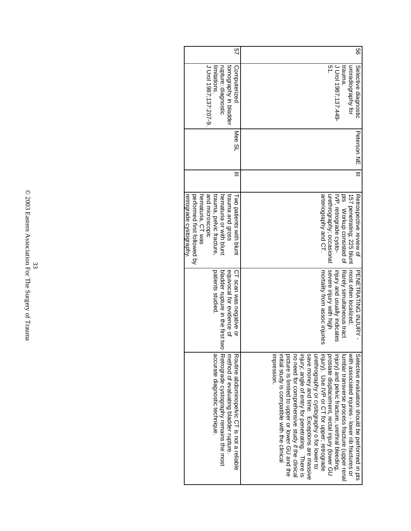| 99 | J Urol 1987;137:449-<br>uroradiography tor<br>trauna<br>Selective diagnostic | <b>Peterson NE</b> | Ξ | <b>Dts</b><br>157 penetrating; 225 blunt<br>Retrospective review of<br>IVP, retrograde cysto-<br>Workup consisted of | Rarely simultaneous tract<br>most often localized;<br>injury and usually indicates<br>PENETRATING INJURY - | injury) and pelvic fracture, urethral bleeding<br>with associated injuries - lower rib fractures or<br>Selective evaluation should be performed in pts<br>lumbar transverse process fracture (upper rena                                                                                                                                                                                                             |
|----|------------------------------------------------------------------------------|--------------------|---|----------------------------------------------------------------------------------------------------------------------|------------------------------------------------------------------------------------------------------------|----------------------------------------------------------------------------------------------------------------------------------------------------------------------------------------------------------------------------------------------------------------------------------------------------------------------------------------------------------------------------------------------------------------------|
|    | ىر<br>-                                                                      |                    |   | arteriography and CT.<br>urethrography; occasional                                                                   | severe injury with high<br>mortality from assoc injuries                                                   | injury; angle of entry for penetrating. There is<br>urethrography or cystography o for lower to<br>save money and time. Exceptions are massive<br>injury). Use IVP or CT for upper; retrograde<br>picture is limited to upper or lower GU and the<br>no need for comprehensive study if the clinical<br>mpression<br>prostate displacement, rectal injury (lower GU<br>initial study is compatible with the clinical |
| 9  | tomography in bladder<br>Computerized                                        | Mee SL             |   | trauma and gross<br><b>Two patients with blunt</b>                                                                   | equivocal for evidence of<br>CT scan was negative or                                                       | method of evaluating bladder rupture<br>Routine abdominopelvic CH is not a reliable                                                                                                                                                                                                                                                                                                                                  |
|    | rupture: diagnostic<br>imitations                                            |                    |   | trauma, pelvic fracture.<br>hematuria or with blunt                                                                  | patients studied<br>bladder rupture in the first two                                                       | accurate diagnostic technique.<br>Retrograde cystography remains the most                                                                                                                                                                                                                                                                                                                                            |
|    | J Urol 1987;137:207-9.                                                       |                    |   | and microscopic                                                                                                      |                                                                                                            |                                                                                                                                                                                                                                                                                                                                                                                                                      |
|    |                                                                              |                    |   | hematuria, CT was                                                                                                    |                                                                                                            |                                                                                                                                                                                                                                                                                                                                                                                                                      |
|    |                                                                              |                    |   | performed first followed by                                                                                          |                                                                                                            |                                                                                                                                                                                                                                                                                                                                                                                                                      |
|    |                                                                              |                    |   | retrogr <u>ade cystography</u> .                                                                                     |                                                                                                            |                                                                                                                                                                                                                                                                                                                                                                                                                      |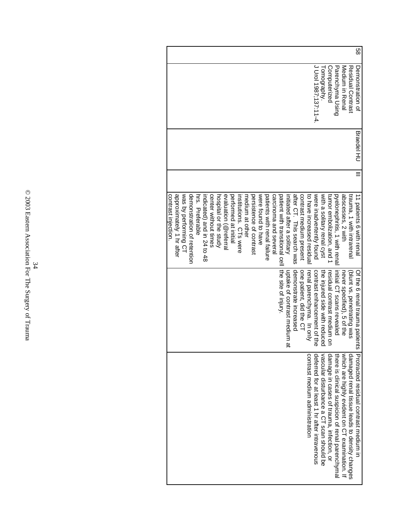|                                                                                                                                                                                                                                                                                                                                                                                                                                                                                                                                                                      |                                                                                          |                                          |                                                                                                    |                                               | 89                                     |
|----------------------------------------------------------------------------------------------------------------------------------------------------------------------------------------------------------------------------------------------------------------------------------------------------------------------------------------------------------------------------------------------------------------------------------------------------------------------------------------------------------------------------------------------------------------------|------------------------------------------------------------------------------------------|------------------------------------------|----------------------------------------------------------------------------------------------------|-----------------------------------------------|----------------------------------------|
|                                                                                                                                                                                                                                                                                                                                                                                                                                                                                                                                                                      | J Urol 1987;137:11-4.<br>Tomography.                                                     | Computerized                             | Medicin in Renal<br>Parenchyma Using                                                               | Residual Contrast                             | Demonstration of                       |
|                                                                                                                                                                                                                                                                                                                                                                                                                                                                                                                                                                      |                                                                                          |                                          |                                                                                                    |                                               | <b>Braedel HU</b>                      |
|                                                                                                                                                                                                                                                                                                                                                                                                                                                                                                                                                                      |                                                                                          |                                          |                                                                                                    |                                               |                                        |
| approximately 1 hr after<br>was by performing CT<br>were found to have<br>initiated after a solitary<br>contrast medium present<br>demonstration of retention<br>persistence of contrast<br>after CT. This search was<br>to have increased residual<br>hrs. Preferable<br>indicated) and in 24 to 48<br>center without times<br>evaluation (@referral<br>performed at initial<br>patients with renal failure<br>carcinoma and several<br>patient with transitional cell<br>contrast injection.<br>medium at other<br>hospital or the study<br>institutions. CTs were | were inadvertently found<br>with a solitary renal cyst                                   | tumor embolization, and 1                | pyelonephritis, 1 with renal<br>abscesses, 2 with                                                  | trauma, 1 with intrarenal                     | 11 patients o with renal               |
| the site of injury.<br>demonstrate increased<br>uptake of contrast medium a<br>one patient, did the CT<br>renal parenchyma. In only                                                                                                                                                                                                                                                                                                                                                                                                                                  | the injured side with reduced<br>contrast enhancement of the                             | residual contrast medium on              | initial CT scans revealed<br>never specified), 5 of the                                            | (blunt vs. penetrating was                    | Of the 6 renal tracma patient<br>Ø     |
| contrast medium administration                                                                                                                                                                                                                                                                                                                                                                                                                                                                                                                                       | vascular disturbance a CT scan should be<br>deferred for at least 1 hr after intravenous | damage in cases of trauma, infection, or | there is clinical suspicion of renal parenchymal<br>which are highly exident on CT examination. If | damaged renal tissue leads to density changes | Protracted residual contrast medium in |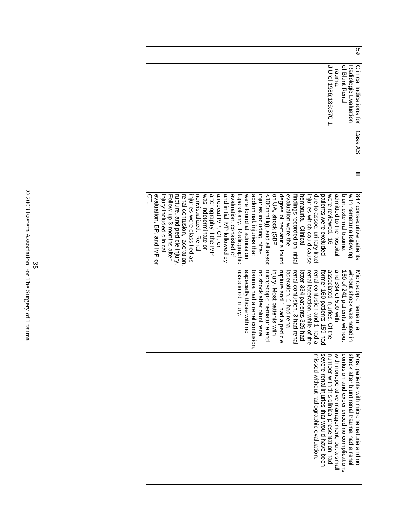| GS<br>Clinical Indications for | Cass AS | 847 consecutive patients     | Microscopic hematuria          | Most patients with microhematuria and no   |
|--------------------------------|---------|------------------------------|--------------------------------|--------------------------------------------|
| Radiologic Exaltation          |         | with hematuria following     | without shock was noted in     | shock after blunt renal trauma had a renal |
| of Blunt Renal                 |         | blunt external trauma        | 160 of 241 patients without    | contusion and experienced no complications |
| rauna.                         |         | admitted to the hospital     | and 334 of 590 with            | with nonoperative management, but a small  |
| J Drol 1986;1336:370-1         |         | were reviewed. 16            | associated injuries. Of the    | number with this clinical presentation had |
|                                |         | patients were excluded       | former 160 patients 159 had    | severe renal injuries that would have been |
|                                |         | due to assoc. urinary tract  | renal contusion and 1 had a    | missed without radiographic evaluation.    |
|                                |         | injuries which could cause   | renal laceration, while of the |                                            |
|                                |         | hematuria. Clinical          | latter 334 patients 329 had    |                                            |
|                                |         | tindings recorded on initial | renal contusion, 3 had renal   |                                            |
|                                |         | evaluation were the          | laceration, 1 had renal        |                                            |
|                                |         | degree of hematuria found    | rupture and 1 had a pedicle    |                                            |
|                                |         | on UA, shock (SBP            | injury. Most patients with     |                                            |
|                                |         | <100mmHg), and all assoc     | microscopic hematuria and      |                                            |
|                                |         | injuries including intra-    | no shock after blunt renal     |                                            |
|                                |         | abdominal. injuries that     | trauma had a renal contusior   |                                            |
|                                |         | were found at admission      | especially those with no       |                                            |
|                                |         | laparotomy. Radiographic     | associated injury.             |                                            |
|                                |         | evaluation. consisted of     |                                |                                            |
|                                |         | and initial IVP followed by  |                                |                                            |
|                                |         | a repeat IVP, CT, or         |                                |                                            |
|                                |         | arteriography if the IVP     |                                |                                            |
|                                |         | was indeterminate or         |                                |                                            |
|                                |         | nonvisualized. Renal         |                                |                                            |
|                                |         | injuries were classified as  |                                |                                            |
|                                |         | renal contusion, laceration, |                                |                                            |
|                                |         | rupture, and pedicle injury. |                                |                                            |
|                                |         | Follow-up 3 months after     |                                |                                            |
|                                |         | injury included clinical     |                                |                                            |
|                                |         | evaluation, BP, and IVP or   |                                |                                            |
|                                |         | ς                            |                                |                                            |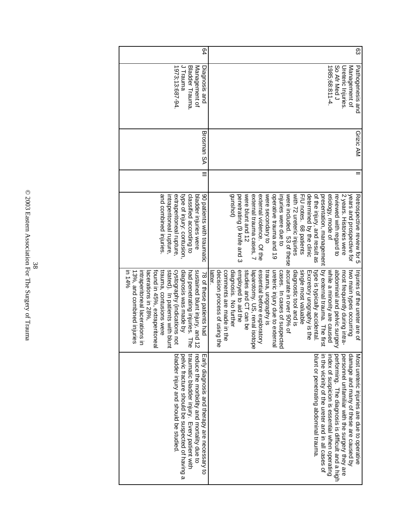| 54                                                                                                                                                                                                                                                                                                                                                   | සි                                                                                                                                                                                                                                                                                                                                                                                                                                                                                                                                                                                                                                                     |
|------------------------------------------------------------------------------------------------------------------------------------------------------------------------------------------------------------------------------------------------------------------------------------------------------------------------------------------------------|--------------------------------------------------------------------------------------------------------------------------------------------------------------------------------------------------------------------------------------------------------------------------------------------------------------------------------------------------------------------------------------------------------------------------------------------------------------------------------------------------------------------------------------------------------------------------------------------------------------------------------------------------------|
| 1973;13:687-94.<br>J Trauma<br>Bladder Trauma.<br>Management of<br>Diagnosis and                                                                                                                                                                                                                                                                     | 1985;68:811-4<br>So Afr Med J<br>Pathogenesis and<br>Management of<br>Ureteric Injuries.                                                                                                                                                                                                                                                                                                                                                                                                                                                                                                                                                               |
| Brosman SA                                                                                                                                                                                                                                                                                                                                           | Grizic AM                                                                                                                                                                                                                                                                                                                                                                                                                                                                                                                                                                                                                                              |
| Ξ                                                                                                                                                                                                                                                                                                                                                    |                                                                                                                                                                                                                                                                                                                                                                                                                                                                                                                                                                                                                                                        |
| type of injury: contusion,<br>90 patients with traumatic<br>and combined injuries.<br>extraperitoneal rupture,<br>classified according to<br>bladder injuries were<br>intraperitoneal rupture,                                                                                                                                                       | gunshot)<br>were included. 53 of these<br>with 72 ureteric injuries<br>of the injury, and result as<br>years and prospective for<br>penetrating (9 knife and 3<br>were blunt and 12<br>determined by the clinic<br>presentation, management<br>etiology, mode of<br>2 years. Histories were<br>external trauma cases, 7<br>external violence. Of the<br>were secondary to<br>operative trauma and 19<br>injuries were due to<br>Retrospective review tor p<br>F/U notes. 68 patients<br>reviewed with regard to                                                                                                                                        |
| 13%, and combined injuries<br>stated). In patients with blunt<br>cystography (indications not<br>diagnosis was made by<br>sustained blunt injury, and 12<br>in 14%<br>found in 45%, extraperitoneal<br>trauma, contusions were<br>intraperitoneal lacerations in<br>had penetrating injuries. The<br>lacerations in 28%,<br>78 of these patients had | accurate in over 90% of<br>type is typically accidental.<br>by external trauma. The first<br>single most valuable<br>decision process of using the<br>comments are made in the<br>diagnosis. No further<br>employed to aid the<br>ureteric injury due to externa<br>diagnostic tool and is<br>while a minority are caused<br>abdominal and pelvic surgery<br>studies and CT can be<br>trauma, urography is<br>cases. In cases of suspected<br>two main types occurring<br>essential before exploratory<br>Excretory urography is the<br>most frequently during intra-<br>Injuries of the ureter are of<br>laparotomy. US, renal isotop<br>latter.<br>æ |
| pervice spond be suspected of having a<br>traumatic bladder injury. Every patient with<br>bladder injury and should be studied<br>reduce the morbidity and mortality due to<br>Early diagnosis and therapy are necessary to                                                                                                                          | blunt or penetrating abdominal trauma<br>personnel unfamiliar with the surgery they are<br>damage and many of these are caused by<br>in the vicinity of the ureter and line over<br>performing. The diagnosis is difficult and a high<br>Most ureteric injuries are due to operative<br>index of suspicion is essential when operating                                                                                                                                                                                                                                                                                                                 |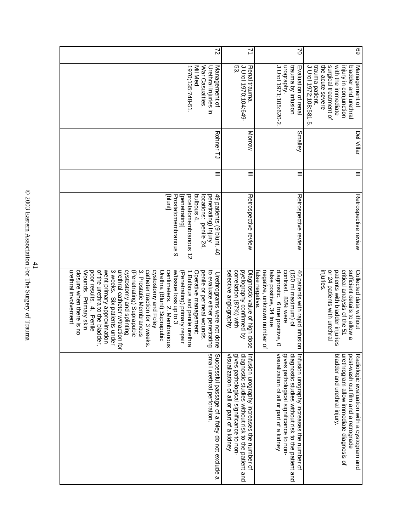© 2003 Eastern Association For The Surgery of Trauma 41 <br>  $41$  <br>  $6$   $2003$  Eastern Association For The Surgery of Trauma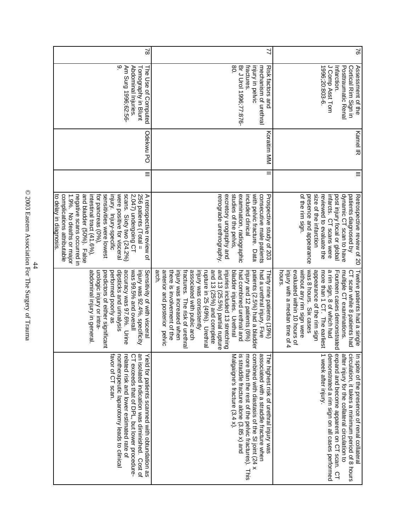| $\approx$ | Assessment of the                                                                                           | <b>Kamel IR</b> | $\equiv$ | Retrospective review of 20                                                                                                                                                                                                                                                                                                                                                                    | Twelve patients had a single                                                                                                                                                                                                                                                                                                                                                                                                                                                                                            | In spite of the presence of renal collatera                                                                                                                                                                                                                           |
|-----------|-------------------------------------------------------------------------------------------------------------|-----------------|----------|-----------------------------------------------------------------------------------------------------------------------------------------------------------------------------------------------------------------------------------------------------------------------------------------------------------------------------------------------------------------------------------------------|-------------------------------------------------------------------------------------------------------------------------------------------------------------------------------------------------------------------------------------------------------------------------------------------------------------------------------------------------------------------------------------------------------------------------------------------------------------------------------------------------------------------------|-----------------------------------------------------------------------------------------------------------------------------------------------------------------------------------------------------------------------------------------------------------------------|
|           | 1996;20:803-6.<br>J Comp Asst Tom<br>Infarction.<br>Postraumatic Renal<br>Cortical Rim Sign in              |                 |          | of the rim sign.<br>presence and appearance<br>size of the infarction<br>infarcts. CT scans were<br>dynamic CT scan to have<br>reviewed to evaluate the<br>post injury focal or global<br>patients diagnosed by                                                                                                                                                                               | was 8 hours. Six cases<br>injury with a median time of 4<br>without any rim sign were<br>appearance of the rim sign<br>a rim sign, 8 of which had<br>evaluated within 10 hours of<br>more than 1 CT. The earlies<br>Fourteen cases demonstrate<br>multiple CT examinations.<br>nours<br>CT scan while 8 patients had                                                                                                                                                                                                    | expand and become apparent on CT scan. CT<br>demonstrated a rim sign on all cases performed<br>after injury for the collateral circulation to<br>1 week after injury.<br>circulation, it takes a minimum period of 8 hours                                            |
| 2         | 80<br>fractures.<br>injury in pelvic<br>Br J Urol 1996;77:876-<br>mechanism of urethral<br>Risk factors and | Koraitim MM     | =        | studies of the pelvis,<br>examination, radiographic<br>included clinical<br>with pelvic fracture. Data<br>consecutive male patients<br>excretory urography and<br>retrograde urethrography<br>Prospective study of 203                                                                                                                                                                        | and 13 (25.5%) partial rupture<br>anterior and posterior pelvic<br>there is involvement of the<br>injury was increased when<br>associated with pubic arch<br>and 13 (25%) and complete<br>arch.<br>injury was consistently<br>bladder injuries. Urethral<br>had combined urethral and<br>fractures. The risk of urethra<br>rupture in 25 (49%). Urethral<br>injuries included 13 stretching<br>patients (2.5%) had a bladde<br>had a urethral injury. Five<br>injury and 12 patients (6%)<br>Thirty nine patients (19%) | combined with diastasis of the SI joint (24 x<br>more than the rest of the pelvic fractures). This<br>Malgaigne's fracture (3.4 x).<br>is straddle fracture alone (3.85 x) and<br>associated with a straddle fracture when<br>The highest risk of urethral injury was |
| $\approx$ | <sub>ç0</sub><br>Am Surg 1996;62:56-<br>Abdominal Injuries.<br>The Use of Computed<br>Tomography in Blunt   | Odekwu PO       | $\equiv$ | 1.9%. No deaths or major<br>negative scans occurred in<br>and bladder (50%). False<br>intestinal tract (41.6%),<br>for pancreas (0%),<br>sensitivities were lowest<br>injury. Injury-specific<br>were positive for visceral<br>scans. Sixty two (24.2%)<br>256 patients (Total =<br>to delay in diagnosis.<br>complications attributable<br>2,047) undergoing CT<br>A retrospective review of | performed poorly as<br>dipsticks and urinalysis<br>accuracy was 97.6%. Urine<br>injury was 92.4%, specificity<br>was 99.5% and overall<br>Sensitivity of with visceral<br>abdominal injury in general.<br>urologic injury or intra-<br>predictors of either significan                                                                                                                                                                                                                                                  | favor of CT scan.<br>an isolated indication was diminished. Cost of<br>nontherapeutic laparotomy leads to clinical<br>CT exceeds that of DPL, but lower procedure-<br>related risk and lower estimated rate of<br>Yield for patients scanned with obtundation as      |

© 2003 Eastern Association For The Surgery of Trauma  $^{44}$   $^{44}$   $^{44}$   $^{44}$   $^{44}$   $^{45}$   $^{46}$   $^{47}$  Free Surgery of Trauma  $\,$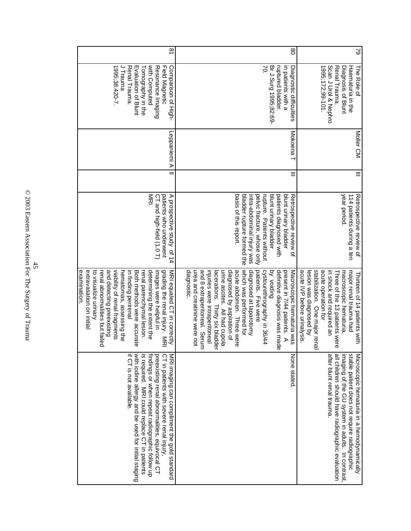| if CT is not available<br>with iodine allergy and be used for initial staging<br>is required. MRI could replace CT in patients<br>findings or when repeat radiographic follow up<br>preexisting renal abnormalities, equivocal CT<br>CT in patients with severe renal injury,<br>MRI imaging can compliment the gold standard | and detecting preexisting<br>viability of renal fragments<br>grading the renal injury. MRI<br>MRI equaled CT in correctly<br>extravasation on initial<br>determining the extent the<br>to visualize urinary<br>renal abnormalities but tailed<br>Both methods were accurate<br>images were helpful in<br>examınatıon.<br>hematomas, assessing the<br>in finding perirenal<br>renal parenchymal lesion.                                                                                         | MRI.<br>A prospective study of 14<br>patients who underwent<br>CT and high-field (1.0 T)                                                                                                                                                              |          | Leppaniemi A            | 1995;38:420-7.<br>J Trauma<br>with Computed<br>Renal Trauma.<br>Evaluation of Blunt<br>Resonance Imaging<br>Comparison of High-<br>Field Magnetic<br>Tomography in the | $\overline{8}$ |
|-------------------------------------------------------------------------------------------------------------------------------------------------------------------------------------------------------------------------------------------------------------------------------------------------------------------------------|------------------------------------------------------------------------------------------------------------------------------------------------------------------------------------------------------------------------------------------------------------------------------------------------------------------------------------------------------------------------------------------------------------------------------------------------------------------------------------------------|-------------------------------------------------------------------------------------------------------------------------------------------------------------------------------------------------------------------------------------------------------|----------|-------------------------|------------------------------------------------------------------------------------------------------------------------------------------------------------------------|----------------|
| None stated                                                                                                                                                                                                                                                                                                                   | which was performed tor<br>diagnosed at laparotomy<br>definitive diagnosis was mad<br>patients. Five were<br>cystourethrography in 36/44<br><b>Bulbiov</b> yd<br>present in 7/44 patients.<br>diagnostic.<br>urea and creatinine were not<br>and 8 extraperitoneal. Serum<br>urine ascites. All had cupola<br>diagnosed by aspiration of<br>acute abdomen. Three were<br>Macroscopic hematuria was<br>injuries were intraperitoneal<br>lacerations. Thirty six bladde<br>$\triangleright$<br>Ф | basis of this report.<br>bladder rupture formed the<br>intra-abdominal injury was<br>pelvic fracture, whose only<br>rupture. Patients without<br>blunt urinary bladder<br>patients diagnosed with<br>blunt urinary bladder<br>Retrospective review of | Ξ        | Mokoena<br>Mokoena<br>I | in patients with a<br>Br J Surg 1995;82:69-<br>ruptured bladder.<br>λ,<br>Diagnostic difficulties                                                                      | $\infty$       |
| all children should have radiographic evaluation<br>after blunt renal trauma.<br>imaging of the GU system in adults. In contrast,<br>stable patient does not require radiographic<br>Microscopic hematuria in a hemodynamically                                                                                               | stabilization. One major rena<br>acute operation for<br>in shock and required an<br>acute IVP before urinalysis<br>major renal trauma had<br>lesion was diagnosed by<br>macroscopic hematuria<br>The of the 13 patients were<br>Thirteen of 14 patients with                                                                                                                                                                                                                                   | year period.<br>114 patients during a ten<br>Retrospective review of                                                                                                                                                                                  | $\equiv$ | Moller CM               | 1995;172;99-101.<br>Scan J Urol & Nephro<br>Haematuria in the<br>Renal Trauma.<br>The Role of<br>Diagnosis of Blunt                                                    | 29             |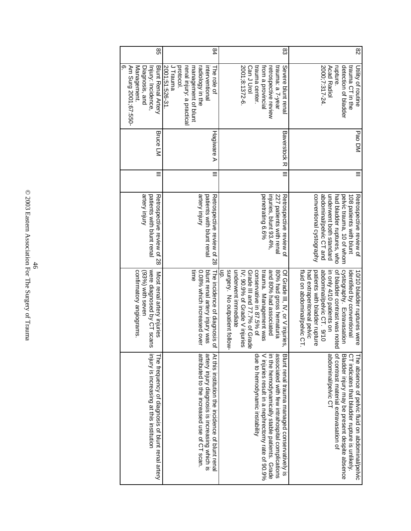| တ                                                                                                                                                                                                                                                                                                                                                                                                                                                                                                                                                                                                                                                                                                                       | J Trauma<br>protocol.<br>2000;7:317-24.<br>rupture<br>Management.<br>Blunt Renal Artery<br>2001;51:526-31<br>management of blunt<br>2001;8:1372-6.<br>Can J Urol<br>trauma center.<br>from a provincial<br>trauma: a /-year<br><b>Acad Radiol</b><br>Severe blunt rena<br>Diagnosis, and<br>Injury: Incidence,<br>renal injury: a practical<br>interventional<br>retrospective review<br>radiology in the<br>The role of | <b>Baverstock R</b><br>Bruce LM<br>Hagiware A | $\equiv$<br>$\equiv$ | srtery Injury<br>srtery injury<br>227 patients with renal<br>conventional cystography<br>abdominal/pelvic CT and<br>underwent both standard<br>patients with blunt renal<br>patients with blunt renal<br>penetrating 6.6%<br>injuries, blunt 93.4%,<br>had bladder ruptures, who<br>Retrospective review of 28<br>Retrospective review of 28<br>Retrospective review of | time<br>(93%) with seven                                                               |                                                                                                                                                                                                                                        |
|-------------------------------------------------------------------------------------------------------------------------------------------------------------------------------------------------------------------------------------------------------------------------------------------------------------------------------------------------------------------------------------------------------------------------------------------------------------------------------------------------------------------------------------------------------------------------------------------------------------------------------------------------------------------------------------------------------------------------|--------------------------------------------------------------------------------------------------------------------------------------------------------------------------------------------------------------------------------------------------------------------------------------------------------------------------------------------------------------------------------------------------------------------------|-----------------------------------------------|----------------------|-------------------------------------------------------------------------------------------------------------------------------------------------------------------------------------------------------------------------------------------------------------------------------------------------------------------------------------------------------------------------|----------------------------------------------------------------------------------------|----------------------------------------------------------------------------------------------------------------------------------------------------------------------------------------------------------------------------------------|
| 98<br>83<br>84<br>Am Surg 2001;67:550-<br>surgery. No outpatient follow<br>underwent immediate<br>were diagnosed by CT scans<br>blunt renal artery injury was<br>conservative in 87.5% of<br>fluid on abdominal/pelvic CT.<br>of bladder contrast was notec<br>contirmatory angiograms.<br>0.08% which increased over<br>IV; 90.9% of Grade V injuries<br>Grade III and 77.7% of Grade<br>80% had gross hematuria<br>abdominal/pelvic CT. 9/10<br>trauma. Management was<br>and 80% had associated<br>had extraperitoneal pelvic<br>patients with bladder rupture<br>Of Grade III, IV, or V injuries,<br>in only 4/10 patients on<br>The incidence of diagnosis of<br>Most renal artery injuries<br>abdominal/pelvic CT | detection of bladder<br>trauma CT in the<br>Utility of routine                                                                                                                                                                                                                                                                                                                                                           | Pao DM                                        |                      | pelvic trauma, 10 of whom<br>108 patients with blunt<br>Retrospective review of                                                                                                                                                                                                                                                                                         | cystography. Extravasation<br>identified by conventional<br>0/10 bladder ruptures were | Bladder injury may be present despite absence<br>CT indicates that bladder rupture is unlikely.<br>The absence of pelvic fluid on abdominal/pelvic                                                                                     |
|                                                                                                                                                                                                                                                                                                                                                                                                                                                                                                                                                                                                                                                                                                                         |                                                                                                                                                                                                                                                                                                                                                                                                                          |                                               |                      |                                                                                                                                                                                                                                                                                                                                                                         |                                                                                        | of contrast material extravasation of                                                                                                                                                                                                  |
|                                                                                                                                                                                                                                                                                                                                                                                                                                                                                                                                                                                                                                                                                                                         |                                                                                                                                                                                                                                                                                                                                                                                                                          |                                               |                      |                                                                                                                                                                                                                                                                                                                                                                         |                                                                                        |                                                                                                                                                                                                                                        |
|                                                                                                                                                                                                                                                                                                                                                                                                                                                                                                                                                                                                                                                                                                                         |                                                                                                                                                                                                                                                                                                                                                                                                                          |                                               |                      |                                                                                                                                                                                                                                                                                                                                                                         |                                                                                        | due to hemodynamic instability<br>V injuries result in a nephrectomy rate of 90.9%<br>associated with few intrahospital complications<br>in the hemodynamically stable patients. Grade<br>Blunt renal trauma managed conservatively is |
|                                                                                                                                                                                                                                                                                                                                                                                                                                                                                                                                                                                                                                                                                                                         |                                                                                                                                                                                                                                                                                                                                                                                                                          |                                               |                      |                                                                                                                                                                                                                                                                                                                                                                         |                                                                                        |                                                                                                                                                                                                                                        |
|                                                                                                                                                                                                                                                                                                                                                                                                                                                                                                                                                                                                                                                                                                                         |                                                                                                                                                                                                                                                                                                                                                                                                                          |                                               |                      |                                                                                                                                                                                                                                                                                                                                                                         |                                                                                        | artery injury diagnosis is increasing which is<br>At this institution the incidence of blunt rena                                                                                                                                      |
|                                                                                                                                                                                                                                                                                                                                                                                                                                                                                                                                                                                                                                                                                                                         |                                                                                                                                                                                                                                                                                                                                                                                                                          |                                               |                      |                                                                                                                                                                                                                                                                                                                                                                         |                                                                                        | attributed to the increased use of CT scan.                                                                                                                                                                                            |
|                                                                                                                                                                                                                                                                                                                                                                                                                                                                                                                                                                                                                                                                                                                         |                                                                                                                                                                                                                                                                                                                                                                                                                          |                                               |                      |                                                                                                                                                                                                                                                                                                                                                                         |                                                                                        |                                                                                                                                                                                                                                        |
|                                                                                                                                                                                                                                                                                                                                                                                                                                                                                                                                                                                                                                                                                                                         |                                                                                                                                                                                                                                                                                                                                                                                                                          |                                               |                      |                                                                                                                                                                                                                                                                                                                                                                         |                                                                                        |                                                                                                                                                                                                                                        |
|                                                                                                                                                                                                                                                                                                                                                                                                                                                                                                                                                                                                                                                                                                                         |                                                                                                                                                                                                                                                                                                                                                                                                                          |                                               |                      |                                                                                                                                                                                                                                                                                                                                                                         |                                                                                        |                                                                                                                                                                                                                                        |
|                                                                                                                                                                                                                                                                                                                                                                                                                                                                                                                                                                                                                                                                                                                         |                                                                                                                                                                                                                                                                                                                                                                                                                          |                                               |                      |                                                                                                                                                                                                                                                                                                                                                                         |                                                                                        |                                                                                                                                                                                                                                        |
|                                                                                                                                                                                                                                                                                                                                                                                                                                                                                                                                                                                                                                                                                                                         |                                                                                                                                                                                                                                                                                                                                                                                                                          |                                               |                      |                                                                                                                                                                                                                                                                                                                                                                         |                                                                                        | The frequency of diagnosis of blunt renal artery                                                                                                                                                                                       |
|                                                                                                                                                                                                                                                                                                                                                                                                                                                                                                                                                                                                                                                                                                                         |                                                                                                                                                                                                                                                                                                                                                                                                                          |                                               |                      |                                                                                                                                                                                                                                                                                                                                                                         |                                                                                        | injury is increasing at this institution                                                                                                                                                                                               |
|                                                                                                                                                                                                                                                                                                                                                                                                                                                                                                                                                                                                                                                                                                                         |                                                                                                                                                                                                                                                                                                                                                                                                                          |                                               |                      |                                                                                                                                                                                                                                                                                                                                                                         |                                                                                        |                                                                                                                                                                                                                                        |
|                                                                                                                                                                                                                                                                                                                                                                                                                                                                                                                                                                                                                                                                                                                         |                                                                                                                                                                                                                                                                                                                                                                                                                          |                                               |                      |                                                                                                                                                                                                                                                                                                                                                                         |                                                                                        |                                                                                                                                                                                                                                        |
|                                                                                                                                                                                                                                                                                                                                                                                                                                                                                                                                                                                                                                                                                                                         |                                                                                                                                                                                                                                                                                                                                                                                                                          |                                               |                      |                                                                                                                                                                                                                                                                                                                                                                         |                                                                                        |                                                                                                                                                                                                                                        |

© 2003 Eastern Association For The Surgery of Trauma 46<br> $\frac{46}{2003}$  Eastern Association For The Surgery of Trauma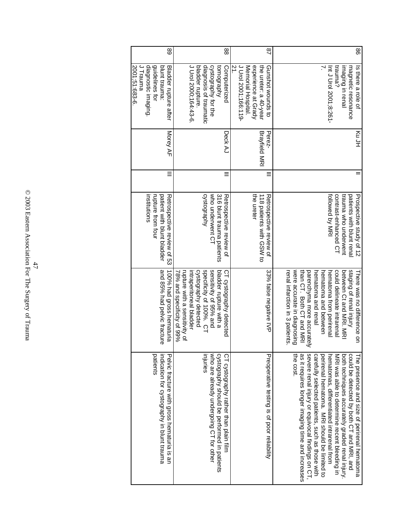| 88            | Int J Urol 2001;8:261-<br>trauma?<br>magnetic resonance<br>imaging in renal<br>Is there a role of                                 | Ku JH                          |   | tollowed by MRI<br>contrast-enhanced CT<br>trauma who underwent<br>patients with blunt rena<br>Prospective study of 12 | were accurate in diagnosing<br>staging of renal injury<br>renal infarction in 3 patients<br>than CH. Both CH and MRI<br>parenchyma more accurately<br>could delineate intrarenal<br>between Ct and MRI. NR<br>hematoma and renal<br>hematoma and between<br>hematoma from perirenal<br>here was no difference on | the cost.<br>severe renal injury or equivocal findings on CT,<br>as it requires longer imaging time and increases<br>carefully selected patients, such as those with<br>perirenal hematoma. MRI should be limited to<br>both techniques accurately graded renal injury.<br>could be detected by both CT and MRI, and<br>hematomas, differentiated intrarenal from<br>MRI was able to determine recent bleeding in<br>he presence and size of perirenal hematoma |
|---------------|-----------------------------------------------------------------------------------------------------------------------------------|--------------------------------|---|------------------------------------------------------------------------------------------------------------------------|------------------------------------------------------------------------------------------------------------------------------------------------------------------------------------------------------------------------------------------------------------------------------------------------------------------|-----------------------------------------------------------------------------------------------------------------------------------------------------------------------------------------------------------------------------------------------------------------------------------------------------------------------------------------------------------------------------------------------------------------------------------------------------------------|
| $\frac{8}{1}$ | $\overline{z}$<br>J Urol 2001;166:119-<br>experience at Grady<br>Memorial Hospital.<br>the ureter: a 40-year<br>Gunshot wounds to | <b>Brayfield MRI</b><br>Perez- |   | the ureter<br>118 patients with GSW to<br>Retrospective review of                                                      | 33% false negative IVP                                                                                                                                                                                                                                                                                           | Preoperative testing is of poor reliability                                                                                                                                                                                                                                                                                                                                                                                                                     |
| 88            | J Urol 2000;164:43-6<br>bladder rupture.<br>diagnosis of traumatic<br>cystography for the<br>tomography<br>Computerized           | Deck AJ                        |   | who underwent CT<br>316 blunt trauma patients<br>cystography<br>Retrospective review of                                | cystography detected<br>specificity of 100%. CT<br>sensitivity of 95% and<br>bladder rupture with a<br>rupture with a sensitivity of<br>intraperitoneal bladder<br>CT cystography detected<br>78% and specificity of 99%                                                                                         | who are already undergoing CT for other<br>cystography should be performed in patients<br>mjures<br>CT cystography rather than plain film                                                                                                                                                                                                                                                                                                                       |
| 89            | J Trauma<br>diagnostic imaging.<br>guidelines for<br>blunt trauma:<br>Bladder rupture after<br>2001;51:683-6.                     | Morey AF                       | Ξ | institutions<br>rupture from four<br>patient with blunt bladder<br>Retrospective review of 53                          | and 85% had pelvic fracture<br>100% had gross hematuria                                                                                                                                                                                                                                                          | patients<br>indication for cystography in blunt trauma<br>Pelvic fracture with gross hematuria is an                                                                                                                                                                                                                                                                                                                                                            |

© 2003 Eastern Association For The Surgery of Trauma 47 <br> 47 <br> 47 <br> 47 <br>  $\,$  17<br/>be Surgery of Trauma  $\,$  0.2003 <br> Eastern Association For<br/> The Surgery of Trauma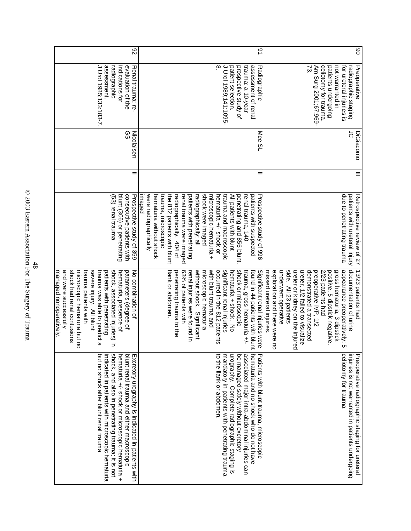| shock, and also in penetrating trauma; it is not<br>but no shock after blunt renal trauma<br>indicated in patients with microscopic hematuria<br>blunt renal trauma and either macroscopic<br>hematuria +/- shock or microscopic hematuria +<br>Excretory urography is indicated in patients with     | trauma patients with<br>and were successfully<br>shock had renal contusions<br>severe injury. All blunt<br>shock, associated injuries) in<br>microscopic hematuria but no<br>trauma was able to predict a<br>patients with penetrating<br>parameters (degree of<br>No combination of<br><u>managed nonoperatively.</u><br>hematuria, presence of                                                              | consecutive patients with<br>(53) renal trauma<br>blunt (306) or penetrating<br>Prospective study of 359                                                                                                                                                                                                                                                                                                                                                                |          | တ္တ<br>Nicolaisen | J Urol 1985;133:183-7.<br>assessment.<br>evaluation of the<br>radiographic<br>indications for<br>Renal trauma: re-                                                | 82 |
|-------------------------------------------------------------------------------------------------------------------------------------------------------------------------------------------------------------------------------------------------------------------------------------------------------|---------------------------------------------------------------------------------------------------------------------------------------------------------------------------------------------------------------------------------------------------------------------------------------------------------------------------------------------------------------------------------------------------------------|-------------------------------------------------------------------------------------------------------------------------------------------------------------------------------------------------------------------------------------------------------------------------------------------------------------------------------------------------------------------------------------------------------------------------------------------------------------------------|----------|-------------------|-------------------------------------------------------------------------------------------------------------------------------------------------------------------|----|
| associated major intra-abdominal injuries can<br>to the flank or abdomen.<br>mandatory in patients with penetrating trauma<br>urography. Complete radiographic staging is<br>be managed safely without excretory<br>hematuria and no shock who do not have<br>Patients with blunt trauma, microscopic | shock or microscopic<br>flank or abdomen.<br>63% of patients with<br>without shock. Significant<br>with blunt trauma and<br>occurred in the 812 patients<br>significant renal injuries<br>microscopic hematuria<br>found in 44 patients with blun<br>penetrating trauma to the<br>Significant renal injuries were<br>renal injuries were found in<br>hematuria + shock. No<br>trauma, gross hematuria +/-     | were radiographically<br>trauma, microscopic<br>the 812 patients with blunt<br>shock were imaged<br>trauma and macroscopic<br>microscopic hematuria +<br>hematuria +/- shock or<br>penetrating and 856 blunt.<br>hematuria without shock<br>renal trauma were imaged<br>patients with penetrating<br>radiographically; all<br>All patients with blunt<br>renal trauma, 140<br>patients with suspected<br>Prospective study of 996<br>imaged<br>radiographically. 404 of | Ξ        | Mee SL            | J Urol 1989;141:1095-<br>$^\infty$<br>patient selection.<br>prospective study of<br>trauma: a 10-year<br>assessment of renal<br>Radiographic                      | 91 |
| celiotomy for trauma<br>injuries is not warranted in patients undergoing<br>Preoperative radiographic staging for ureteral                                                                                                                                                                            | documentation of urine<br>appearance preoperatively:<br>underwent operative<br>exploration and there were no<br>side. All 23 patients<br>ureter or kidney on the injure<br>ureter, 1/2 failed to visualize<br>13/23 patients had<br>demonstrated a transected<br>preoperative IVP, 1/2<br>2/23 patients had<br>gross hematuria, 3 dipstick<br>missed ureteral injuries<br>positive, 5 dipstick negative<br>c٦ | due to penetrating trauma<br>patients with ureteral injury<br>Retrospective review of 27                                                                                                                                                                                                                                                                                                                                                                                | $\equiv$ | င်<br>DiGiacomo   | celiotomy for trauma.<br>patients undergoing<br>Preoperative<br>ξ<br>Am Surg 2001;67:969-<br>not warranted in<br>for ureteral injuries is<br>radiographic staging | 8  |

© 2003 Eastern Association For The Surgery of Trauma 48 <br>  $\frac{48}{2003}$  Eastern Association For The Surgery of Trauma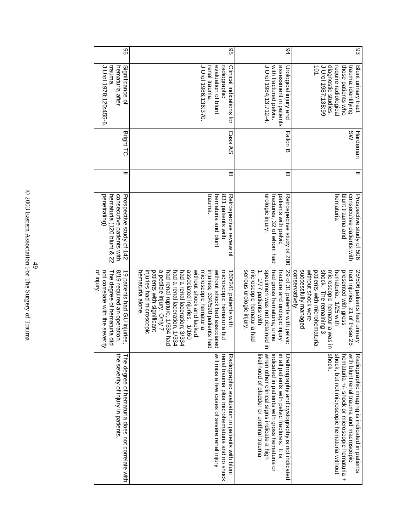| the severity of injury in patients<br>The degree of hematuria does not correlate with                                                                                                                                                    | 8/19 required an operation.<br>not correlate with the severity<br>ot injury.<br>The degree of hematuria did<br>19 patients had GU injuries                                                                                                                                                                                                                                                                         | penetrating)<br>consecutive patients with<br>hematuria (120 blunt & 22<br>Prospective study of 142  |          | <b>Bright TC</b> | trauma.<br>J Urol 1978;120:455-6<br>Significance of<br>hematuria after                                                                         | 96 |
|------------------------------------------------------------------------------------------------------------------------------------------------------------------------------------------------------------------------------------------|--------------------------------------------------------------------------------------------------------------------------------------------------------------------------------------------------------------------------------------------------------------------------------------------------------------------------------------------------------------------------------------------------------------------|-----------------------------------------------------------------------------------------------------|----------|------------------|------------------------------------------------------------------------------------------------------------------------------------------------|----|
| will miss a few cases of severe renal injury<br>Radiographic evaluation in patients with blunt<br>renal trauma plus microhematuria and no shock                                                                                          | a pedicle injury. Only 7<br>patients with significant<br>had renal rupture, 1/334 had<br>had a renal laceration, 1/334<br>associated injuries. 1/160<br>without shock and lacked<br>without shock had associated<br>had a renal laceration; 3/334<br>injuries; 334/590 patients had<br>hematuria alone.<br>injuries had microscopic<br>microscopic hematuria<br>microscopic hematuria but<br>160/241 patients with | trauma.<br>831 patients with<br>hematuria and blunt<br>Retrospective review of                      | $\equiv$ | Cass AS          | J Urol 1986;136:370<br>evaluation of blunt<br>renal trauma.<br>Clinical indications for<br>radiographic                                        | 96 |
| when other clinical signs indicate a high<br>likelihood of bladder or urethral trauma<br>indicated in patients with gross hematuria or<br>in all patients with pelvic fractures. It is<br>Urethrography and cystography is not indicated | specimen was not obtained<br>serious urologic injury.<br>had gross hematuria; urine<br>29 of 31 patients with pelvic<br>microscopic hematuria had<br>1. 1/77 patients with<br>fracture and urologic injury<br>$\equiv$                                                                                                                                                                                             | urologic injury.<br>fractures, 32 of whom had<br>patients with pelvic<br>Retrospective study of 200 | $\equiv$ | Fallon B         | J Urol 1984;13:712-4<br>with fractured pelvis.<br>assessment in patients<br>Urological injury and                                              | 94 |
| <b>Shock.</b><br>shock, but not microscopic hematuria without<br>with blunt renal trauma and macroscopic<br>hematuria +/- shock or microscopic hematuria<br>Radiographic imaging is indicated in patients<br>$\ddot{}$                   | without shock were<br>patients with microhematuria<br>successfully managed<br>shock. The remaining 3<br>microscopic hematuria was ir<br>presented with gross<br>tract injuries. 21 of these 25<br>conservatively.<br>hematuria. 1/25 with<br>25/506 patients had urinary                                                                                                                                           | consecutive patients with<br>hematuria<br>blunt trauma and<br>Prospective stags of 506              | $=$      | ŚΜ<br>Hardeman   | 101.<br>J Urol 1987;138:99-<br>diagnostic studies.<br>those patients who<br>require radiological<br>trauma: identifying<br>Blunt urinary tract | 83 |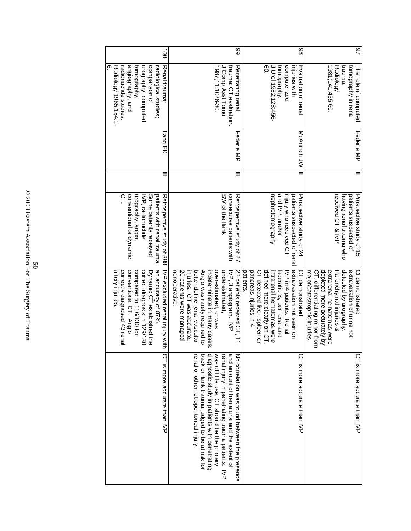| $\overline{0}$                                                                                                                                                                                                              | 89                                                                                                                                                                                                                                                                                                                                              | 86                                                                                                                                                                                                                                   | 97                                                                                                                                                                                                                              |
|-----------------------------------------------------------------------------------------------------------------------------------------------------------------------------------------------------------------------------|-------------------------------------------------------------------------------------------------------------------------------------------------------------------------------------------------------------------------------------------------------------------------------------------------------------------------------------------------|--------------------------------------------------------------------------------------------------------------------------------------------------------------------------------------------------------------------------------------|---------------------------------------------------------------------------------------------------------------------------------------------------------------------------------------------------------------------------------|
| angiography, and<br>တ<br>tomography,<br>urography, computed<br>comparison of<br>Renal trauma:<br>Radiology 1985;154:1-<br>radionuclide studies<br>radiological studies;                                                     | J Comp Asst Tomo<br>1987;11:1026-30.<br>trauma: CT evaluation<br>Penetrating renal                                                                                                                                                                                                                                                              | 80.<br>J Urol 1982;128:456-<br>injuries with<br>tomography.<br>computerized<br>Evaluation of renal                                                                                                                                   | 1981;141:455-60<br>trauma.<br>Radiology<br>tomography in renal<br>The role of computed                                                                                                                                          |
| Lang EK                                                                                                                                                                                                                     | Federle MP                                                                                                                                                                                                                                                                                                                                      | McAninch<br>JW                                                                                                                                                                                                                       | Federie MP                                                                                                                                                                                                                      |
|                                                                                                                                                                                                                             | Ξ                                                                                                                                                                                                                                                                                                                                               |                                                                                                                                                                                                                                      |                                                                                                                                                                                                                                 |
| urography, angio<br>patients with renal trauma.<br>conventional or dynamic<br>Some patients received<br>Retrospective study of 388<br>Ω<br>IVP, radionuclide                                                                | consecutive patients with<br>SW of the flank<br>Retrospective study of 27                                                                                                                                                                                                                                                                       | nephrotomography<br>and IVP, and/or<br>injury who received CT<br>patients suspected of renal<br>Prospective study of 24                                                                                                              | received CT & IVP<br>patients suspected of<br>Prospective stags of 15<br>having renal trauma who                                                                                                                                |
| an accuracy of 87%.<br>correctly diagnosed 43 renal<br>conventional CT. Angio<br>artery injuries.<br>compared to 116/130 for<br>correct diagnosis in 129/130<br>Dynamic CT established the<br>NP excluded renal injury vith | injuries. CT was accurate<br>better define renal vascular<br>overestimated, or was<br>underestimated.<br>22 patients received CT, 11<br>20 patients were managed<br>Angio was rarely required to<br>indeterminate in many cases.<br>IVP, 3 angiogram. IVP<br>nonoperative                                                                       | extravasation not seen on<br>pancreas injuries in 4<br>defined more clearly on CT<br>intrarenal hematomas were<br>patients<br>CT detected liver, spleen or<br>lacerations, perirenal and<br>IVP in 4 patients. Renal<br>demonstrated | depicted more accurately by<br>detected by urography.<br>extrarenal hematomas were<br>CT, differentiating minor from<br>extravasation of urine not<br>Parenchymal injuries &<br>Ct demonstrated<br>major/catastrophic injuries. |
| CT is more accurate than IVP                                                                                                                                                                                                | was of little use; CT should be the primary<br>back or flank trauma judged to be at risk for<br>diagnostic study in patients with penetrating<br>and amount of hematuria and the extent of<br>renal or other retroperitoneal injury.<br>renal injury in penetrating trauma patients.<br>No correlation was found between the presence<br>$\leq$ | CT is more accurate than IVP                                                                                                                                                                                                         | CT is more accurate than IVP                                                                                                                                                                                                    |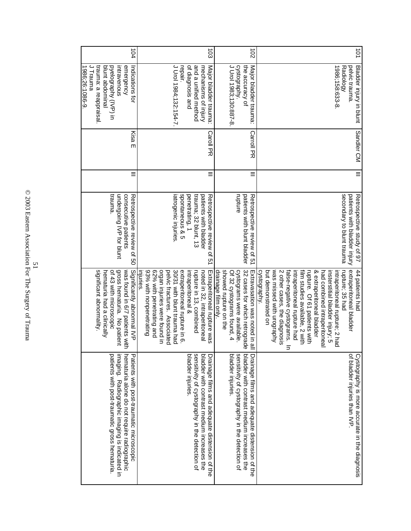| hematuria alone do not require radiographic<br>imaging. Radiographic imaging is indicated in<br>patients with post-traumatic gross hematuria.<br>Patients with post-traumatic microscopic | gross hematuria. No patient<br>significant abnormality.<br>was found in 6/7 patients with<br>Significantly abnormal IVP<br>of 43 with microscopic<br>hematuria had a clinically                                                                                                                                                                                                                                                    | trauma.<br>undergoing IVP for blunt<br>consecutive patients<br>Retrospective review of 50                                                               | Ξ        | Kisa E                | trauma: a reappraisal<br>J Trauma<br>emergency<br>1986;26:1086-9<br>blunt abdominal<br>pyelography (IVP) in<br>intravenous<br>Indications for | 104                  |
|-------------------------------------------------------------------------------------------------------------------------------------------------------------------------------------------|------------------------------------------------------------------------------------------------------------------------------------------------------------------------------------------------------------------------------------------------------------------------------------------------------------------------------------------------------------------------------------------------------------------------------------|---------------------------------------------------------------------------------------------------------------------------------------------------------|----------|-----------------------|-----------------------------------------------------------------------------------------------------------------------------------------------|----------------------|
| sensitivity of cystography in the detection of<br>bladder injuries<br>bladder with contrast medium increases the<br>Drainage films and adequate distension of the                         | 62% with penetrating and<br>93% with nonpenetrating<br>organ injuries were found in<br>30/31 with blunt trauma had<br>extraperitoneal rupture in 6.<br>rupture in 13, combined<br>Extraperitoneal rupture was<br>injuries.<br>pelvic fractures. Associated<br>intraperitoneal &<br>noted in 32, intraperitoneal                                                                                                                    | spontaneous & 5<br>trauma; 32 blunt, 13<br>penetrating, 1<br>patients with bladder<br>Retrospective review of<br>iatrogenic injuries.<br>$\overline{a}$ | Ξ        | <b>Caroll PR</b>      | J Urol 1984;132:154-7<br>of diagnosis and<br>and a unified method<br>Major bladder trauma<br>repair.<br>mechanisms of injury                  | $\overline{5}$       |
| sensitivity of cystography in the detection of<br>bladder with contrast medium increases the<br>bladder injuries<br>Drainage films and adequate distension of the                         | 32 cases for which retrograde<br>cystograms were available.<br>drainage film only.<br>showed rupture on the<br>Of 32 cystograms found, 4<br>Extravasation was noted in a                                                                                                                                                                                                                                                           | rupture<br>patients with blunt bladder<br>Retrospective review of p.1                                                                                   | Ξ        | <b>Carroll PR</b>     | the accuracy of<br>J Urol 1983;130:887-8<br>cystography.<br>Major bladder trauma:                                                             | $\overrightarrow{c}$ |
| of bladder injuries than IVP<br>Cystography is more accurate in the diagnosis                                                                                                             | extraperitoneal bladder<br>was missed with urography<br>false-negative cystograms.<br>film studies available, 2 with<br>rupture; 35 had<br>but demonstrated on<br>intraperitoneal rupture had<br>rupture. Of 61 patients with<br>44 patients had<br>cystography.<br>2 other cases, the diagnosis<br>& extraperitoneal bladder<br>intraperitoneal rupture; 2 had<br>had combined intraperitoneal<br>insterstitial bladder injury; 5 | secondary to blunt trauma<br>patients with bladder injury<br>Retrospective study of 97                                                                  | $\equiv$ | Sandler <sub>CM</sub> | Bladder injury in blunt<br><b>Radiology</b><br>pelvic trauma.<br>1986;158:633-8                                                               | 101                  |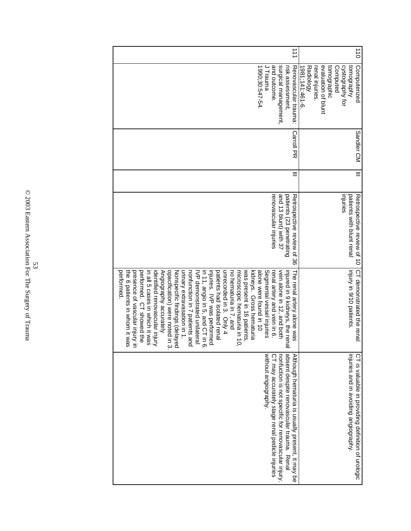| $\overrightarrow{1}$                                                                                                                                                                                                                                                                                                                                                                                                                                                                                                                                                                                                                                                                                                                                                                                           | $\frac{1}{10}$                                                                                                                                                       |
|----------------------------------------------------------------------------------------------------------------------------------------------------------------------------------------------------------------------------------------------------------------------------------------------------------------------------------------------------------------------------------------------------------------------------------------------------------------------------------------------------------------------------------------------------------------------------------------------------------------------------------------------------------------------------------------------------------------------------------------------------------------------------------------------------------------|----------------------------------------------------------------------------------------------------------------------------------------------------------------------|
| J Trauma<br>1990;30:547-54<br>and outcome.<br>surgical management<br>Renovascular trauma:<br>risk assessment,                                                                                                                                                                                                                                                                                                                                                                                                                                                                                                                                                                                                                                                                                                  | renal injuries.<br>evaluation of blunt<br>tomographic<br>cystography for<br><b>Aude</b> ubowa<br>$1981; 141:461 - 6$<br>Computerized<br><b>Radiology</b><br>Computed |
| <b>Carroll PR</b>                                                                                                                                                                                                                                                                                                                                                                                                                                                                                                                                                                                                                                                                                                                                                                                              | Sandler CM                                                                                                                                                           |
|                                                                                                                                                                                                                                                                                                                                                                                                                                                                                                                                                                                                                                                                                                                                                                                                                |                                                                                                                                                                      |
| and 13 blunt) with 37<br>patients (23 penetrating<br>renovascular injuries<br>Retrospective review of 36                                                                                                                                                                                                                                                                                                                                                                                                                                                                                                                                                                                                                                                                                                       | mjuries<br>patients with blunt renal<br>Retrospective review of 10                                                                                                   |
| opacification) were noted in 3.<br>unrecorded in 3. Only 4<br>was present in 16 patients.<br>alone were tound in 10<br>Segmental vessel injuries<br>vein alone in 12, and both<br>performed.<br>injuries. IVP was performed<br>no hematuria in 7, and<br>microscopic hematuria in 10,<br>kidneys. Gross hematuria<br>injured in 9 kidneys, the rena<br>the 6 patients in whom it was<br>periormed. CT showed the<br>in all 5 cases in which it was<br>identified renovascular injury<br>Nonspecific findings (delayed<br>nonfunction in 7 patients and<br>patients had isolated renal<br>renal artery and vein in 6.<br>presence of vascular injury ir<br>Angiography accurately<br>urinary extravasation in 1.<br>IVP demonstrated unilateral<br>in 11, angio in 5, and CT in 6<br>The renal artery alone was | CT demonstrated the renal<br>injury in 9/10 patients.                                                                                                                |
| nonfuction is not specific for renovascular injury.<br>absent despite renovascular trauma. Rena<br>without angiography.<br>CT may accurately stage renal pedicle injuries<br>Although hematuria is usually present, it may be                                                                                                                                                                                                                                                                                                                                                                                                                                                                                                                                                                                  | injuries and in avoiding angiography.<br>F is valuable in providing definition of urologic                                                                           |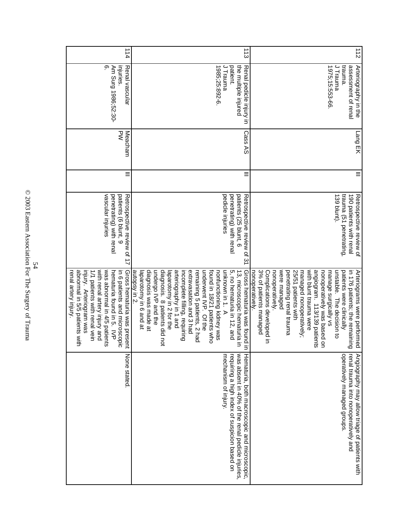| 114                                                                                                                                                                                                                                                                            | $\frac{1}{3}$                                                                                                                                                                                                                                                                                                                                                                                                                                                                  | $\frac{1}{2}$                                                                                                                                                                                                                                                                                                                                                                                                                      |
|--------------------------------------------------------------------------------------------------------------------------------------------------------------------------------------------------------------------------------------------------------------------------------|--------------------------------------------------------------------------------------------------------------------------------------------------------------------------------------------------------------------------------------------------------------------------------------------------------------------------------------------------------------------------------------------------------------------------------------------------------------------------------|------------------------------------------------------------------------------------------------------------------------------------------------------------------------------------------------------------------------------------------------------------------------------------------------------------------------------------------------------------------------------------------------------------------------------------|
| mjuries.<br>တ<br>Am Surg 1986;52:30-<br>Renal vascular                                                                                                                                                                                                                         | J Trauma<br>patient.<br>1985;25:892-6<br>the multiple injured<br>Renal pedicle injury in                                                                                                                                                                                                                                                                                                                                                                                       | J Trauma<br>trauma.<br>1975;15:553-66<br>assessment of renal<br>Arteriography in the                                                                                                                                                                                                                                                                                                                                               |
| $\leq$<br>Meacham                                                                                                                                                                                                                                                              | Cass AS                                                                                                                                                                                                                                                                                                                                                                                                                                                                        | Lang EK                                                                                                                                                                                                                                                                                                                                                                                                                            |
| Ξ                                                                                                                                                                                                                                                                              | $\equiv$                                                                                                                                                                                                                                                                                                                                                                                                                                                                       | $\equiv$                                                                                                                                                                                                                                                                                                                                                                                                                           |
| vascular injuries<br>penetrating) with renal<br>patients (6 blunt, 9<br>Retrospective review of 17                                                                                                                                                                             | pedicle injuries<br>penetrating) with renal<br>patients (25 blunt, 6<br>Retrospective review of 31                                                                                                                                                                                                                                                                                                                                                                             | trauma (51 penetrating<br>139 blunt).<br>190 patients with renal<br>Retrospective review of                                                                                                                                                                                                                                                                                                                                        |
| with renal artery injury and<br>was abnormal in 4/5 patients<br>abnormal in 5/5 patients with<br>1/1 patients with renal vein<br>Gross hematuria was present<br>injury. Arteriogram was<br>Persateria found in 5. IVP<br>in 6 patients and microscopic<br>renal artery injury. | undergo IVP and the<br>5, no hematuria in 12, and<br>Gross hematuria was found in<br>diagnosis was made at<br>diagnosis. 8 patients did not<br>underwent IVP. Of the<br>13, microscopic hematuria in<br>autopsy in 2.<br>arteriography in 1 and<br>extravasation and 3 had<br>remaining 5 patients, 2 had<br>found in 18/21 patients who<br>unknown in 1. A<br>laparotomy in 6 and at<br>incomplete filling, requiring<br>laparotomy in 2 for the<br>nontunctioning kidney was | 3% of patients managed<br>with blunt trauma were<br>nonoperatively.<br>were managed<br>managed nonoperatively;<br>angiogram. 113/139 patients<br>Complications developed in<br>penetrating renal trauma<br>25/51 patients with<br>unstable. The decision to<br>in 176 patients; the remaining<br>nonoperatively was based on<br>patients were clinically<br>nonoperatively.<br>manage surgically vs<br>Arteriograms were performed |
| None stated.                                                                                                                                                                                                                                                                   | was absent in 40% of the renal pedicle injuries.<br>Hematuria, both macroscopic and microscopic,<br>mechanism of injury.<br>requiring a high index of suspicion based on                                                                                                                                                                                                                                                                                                       | operatively managed groups.<br>renal trauma into nonoperatively and<br>Angiography may allow triage of patients with                                                                                                                                                                                                                                                                                                               |